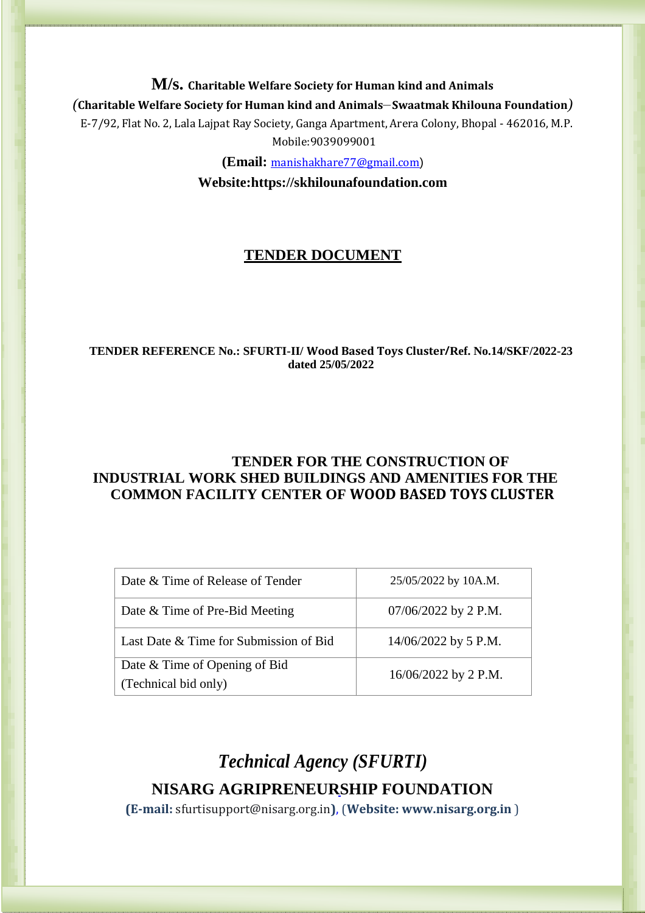**M/s. Charitable Welfare Society for Human kind and Animals** *(***Charitable Welfare Society for Human kind and Animals***–***Swaatmak Khilouna Foundation***)* E-7/92, Flat No. 2, Lala Lajpat Ray Society, Ganga Apartment, Arera Colony, Bhopal - 462016, M.P. Mobile:9039099001

**(Email:** [manishakhare77@gmail.com](mailto:manishakhare77@gmail.com))

**Website:https://skhilounafoundation.com**

## **TENDER DOCUMENT**

#### **TENDER REFERENCE No.: SFURTI-II/ Wood Based Toys Cluster***/***Ref. No.14/SKF/2022-23 dated 25/05/2022**

### **TENDER FOR THE CONSTRUCTION OF INDUSTRIAL WORK SHED BUILDINGS AND AMENITIES FOR THE COMMON FACILITY CENTER OF WOOD BASED TOYS CLUSTER**

| Date & Time of Release of Tender       | 25/05/2022 by 10A.M.   |  |
|----------------------------------------|------------------------|--|
| Date & Time of Pre-Bid Meeting         | $07/06/2022$ by 2 P.M. |  |
| Last Date & Time for Submission of Bid | $14/06/2022$ by 5 P.M. |  |
| Date & Time of Opening of Bid          | 16/06/2022 by 2 P.M.   |  |
| (Technical bid only)                   |                        |  |

# *Technical Agency (SFURTI)* **NISARG AGRIPRENEURSHIP FOUNDATION**

**(E-mail:** sfurtisupport@nisarg.org.in**)**, (**Website[: www.nisarg.org.in](http://www.nisarg.org.in/)** )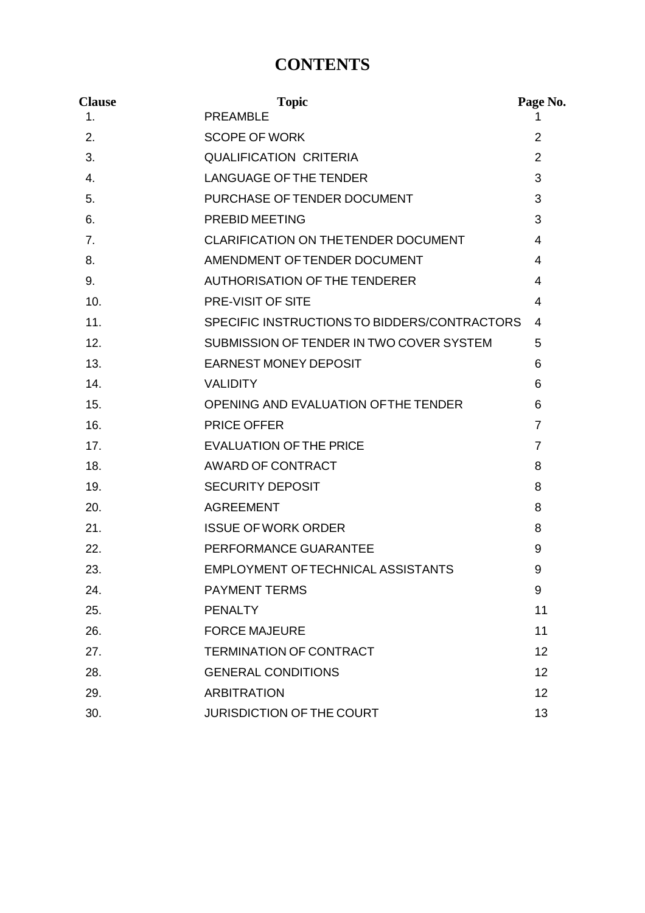# **CONTENTS**

| <b>Clause</b>  | <b>Topic</b>                                 | Page No.          |
|----------------|----------------------------------------------|-------------------|
| 1 <sub>1</sub> | <b>PREAMBLE</b>                              |                   |
| 2.             | <b>SCOPE OF WORK</b>                         | 2                 |
| 3.             | <b>QUALIFICATION CRITERIA</b>                | $\overline{2}$    |
| 4.             | <b>LANGUAGE OF THE TENDER</b>                | 3                 |
| 5.             | PURCHASE OF TENDER DOCUMENT                  | 3                 |
| 6.             | PREBID MEETING                               | 3                 |
| 7.             | CLARIFICATION ON THETENDER DOCUMENT          | 4                 |
| 8.             | AMENDMENT OF TENDER DOCUMENT                 | 4                 |
| 9.             | AUTHORISATION OF THE TENDERER                | 4                 |
| 10.            | <b>PRE-VISIT OF SITE</b>                     | 4                 |
| 11.            | SPECIFIC INSTRUCTIONS TO BIDDERS/CONTRACTORS | 4                 |
| 12.            | SUBMISSION OF TENDER IN TWO COVER SYSTEM     | 5                 |
| 13.            | <b>EARNEST MONEY DEPOSIT</b>                 | 6                 |
| 14.            | <b>VALIDITY</b>                              | 6                 |
| 15.            | OPENING AND EVALUATION OF THE TENDER         | 6                 |
| 16.            | <b>PRICE OFFER</b>                           | $\overline{7}$    |
| 17.            | <b>EVALUATION OF THE PRICE</b>               | $\overline{7}$    |
| 18.            | AWARD OF CONTRACT                            | 8                 |
| 19.            | <b>SECURITY DEPOSIT</b>                      | 8                 |
| 20.            | <b>AGREEMENT</b>                             | 8                 |
| 21.            | <b>ISSUE OF WORK ORDER</b>                   | 8                 |
| 22.            | PERFORMANCE GUARANTEE                        | 9                 |
| 23.            | EMPLOYMENT OF TECHNICAL ASSISTANTS           | 9                 |
| 24.            | <b>PAYMENT TERMS</b>                         | 9                 |
| 25.            | <b>PENALTY</b>                               | 11                |
| 26.            | <b>FORCE MAJEURE</b>                         | 11                |
| 27.            | <b>TERMINATION OF CONTRACT</b>               | $12 \overline{ }$ |
| 28.            | <b>GENERAL CONDITIONS</b>                    | 12 <sup>2</sup>   |
| 29.            | <b>ARBITRATION</b>                           | 12 <sup>2</sup>   |
| 30.            | <b>JURISDICTION OF THE COURT</b>             | 13                |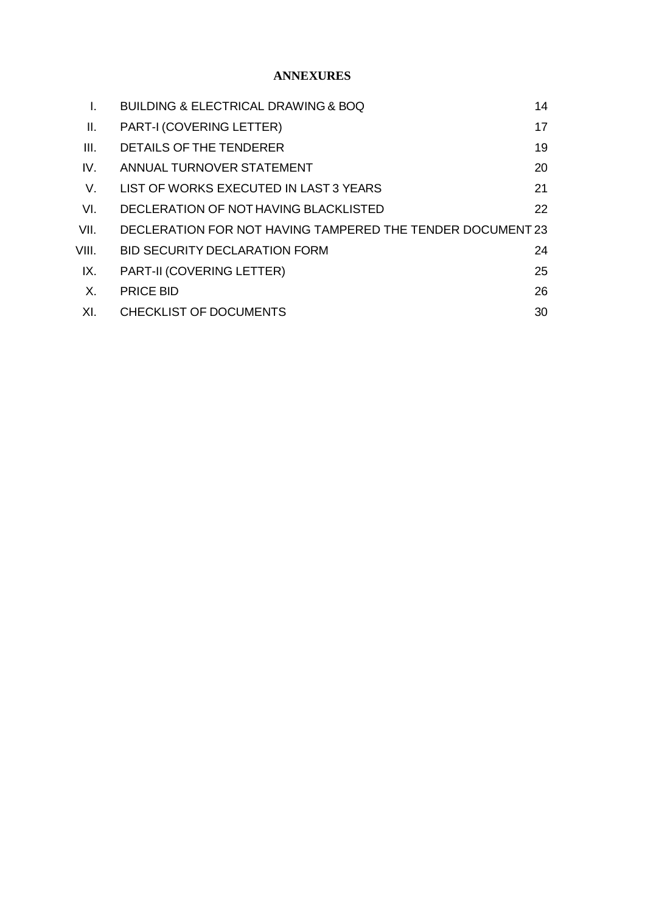#### **ANNEXURES**

| L.    | <b>BUILDING &amp; ELECTRICAL DRAWING &amp; BOQ</b>         | 14 |
|-------|------------------------------------------------------------|----|
| Ⅱ.    | <b>PART-I (COVERING LETTER)</b>                            | 17 |
| III.  | DETAILS OF THE TENDERER                                    | 19 |
| IV.   | ANNUAL TURNOVER STATEMENT                                  | 20 |
| V.    | LIST OF WORKS EXECUTED IN LAST 3 YEARS                     | 21 |
| VI.   | DECLERATION OF NOT HAVING BLACKLISTED                      | 22 |
| VII.  | DECLERATION FOR NOT HAVING TAMPERED THE TENDER DOCUMENT 23 |    |
| VIII. | <b>BID SECURITY DECLARATION FORM</b>                       | 24 |
| IX.   | <b>PART-II (COVERING LETTER)</b>                           | 25 |
| Χ.    | <b>PRICE BID</b>                                           | 26 |
| XI.   | <b>CHECKLIST OF DOCUMENTS</b>                              | 30 |
|       |                                                            |    |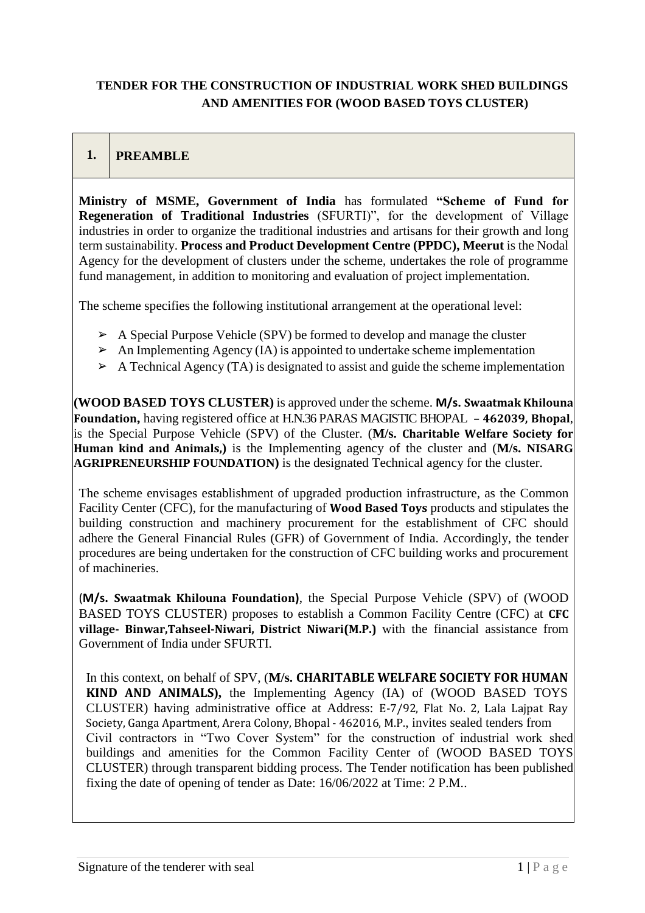### **TENDER FOR THE CONSTRUCTION OF INDUSTRIAL WORK SHED BUILDINGS AND AMENITIES FOR (WOOD BASED TOYS CLUSTER)**

### **1. PREAMBLE**

**Ministry of MSME, Government of India** has formulated **"Scheme of Fund for Regeneration of Traditional Industries** (SFURTI)", for the development of Village industries in order to organize the traditional industries and artisans for their growth and long term sustainability. **Process and Product Development Centre (PPDC), Meerut** is the Nodal Agency for the development of clusters under the scheme, undertakes the role of programme fund management, in addition to monitoring and evaluation of project implementation.

The scheme specifies the following institutional arrangement at the operational level:

- $\triangleright$  A Special Purpose Vehicle (SPV) be formed to develop and manage the cluster
- $\triangleright$  An Implementing Agency (IA) is appointed to undertake scheme implementation
- $\triangleright$  A Technical Agency (TA) is designated to assist and guide the scheme implementation

**(WOOD BASED TOYS CLUSTER)** is approved under the scheme. **M/s. Swaatmak Khilouna Foundation,** having registered office at H.N.36 PARAS MAGISTIC BHOPAL **– 462039, Bhopal**, is the Special Purpose Vehicle (SPV) of the Cluster. (**M/s. Charitable Welfare Society for Human kind and Animals,)** is the Implementing agency of the cluster and (**M/s. NISARG AGRIPRENEURSHIP FOUNDATION)** is the designated Technical agency for the cluster.

The scheme envisages establishment of upgraded production infrastructure, as the Common Facility Center (CFC), for the manufacturing of **Wood Based Toys** products and stipulates the building construction and machinery procurement for the establishment of CFC should adhere the General Financial Rules (GFR) of Government of India. Accordingly, the tender procedures are being undertaken for the construction of CFC building works and procurement of machineries.

(**M/s. Swaatmak Khilouna Foundation)**, the Special Purpose Vehicle (SPV) of (WOOD BASED TOYS CLUSTER) proposes to establish a Common Facility Centre (CFC) at **CFC village- Binwar,Tahseel-Niwari, District Niwari(M.P.)** with the financial assistance from Government of India under SFURTI.

In this context, on behalf of SPV, (M/s. **CHARITABLE WELFARE SOCIETY FOR HUMAN KIND AND ANIMALS),** the Implementing Agency (IA) of (WOOD BASED TOYS CLUSTER) having administrative office at Address: E-7/92, Flat No. 2, Lala Lajpat Ray Society, Ganga Apartment, Arera Colony, Bhopal - 462016, M.P., invites sealed tenders from Civil contractors in "Two Cover System" for the construction of industrial work shed buildings and amenities for the Common Facility Center of (WOOD BASED TOYS CLUSTER) through transparent bidding process. The Tender notification has been published fixing the date of opening of tender as Date: 16/06/2022 at Time: 2 P.M..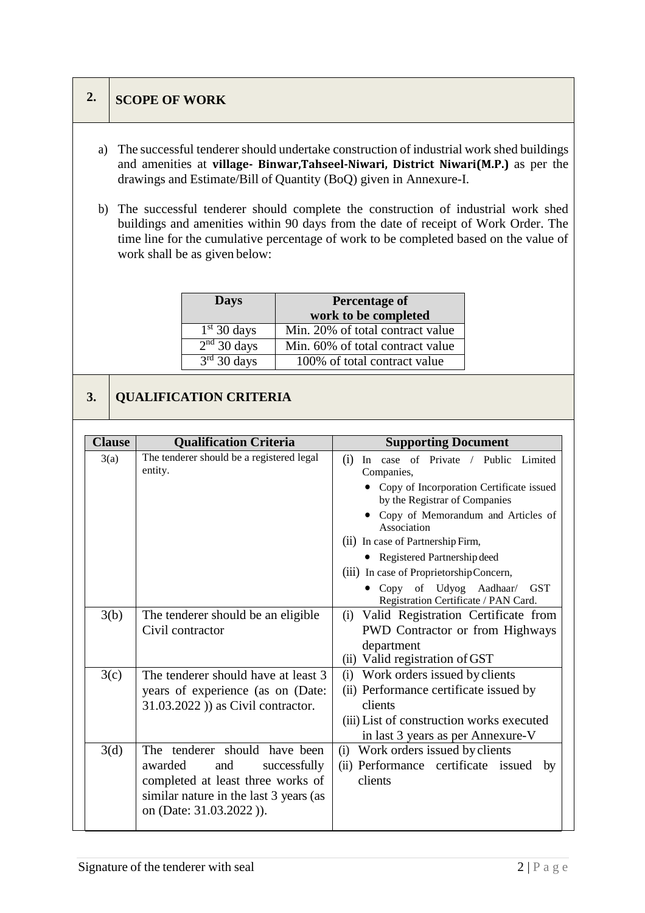## **2. SCOPE OF WORK**

- a) The successful tenderer should undertake construction of industrial work shed buildings and amenities at **village- Binwar,Tahseel-Niwari, District Niwari(M.P.)** as per the drawings and Estimate/Bill of Quantity (BoQ) given in Annexure-I.
- b) The successful tenderer should complete the construction of industrial work shed buildings and amenities within 90 days from the date of receipt of Work Order. The time line for the cumulative percentage of work to be completed based on the value of work shall be as given below:

| <b>Days</b>   | <b>Percentage of</b>             |  |
|---------------|----------------------------------|--|
|               | work to be completed             |  |
| $1st$ 30 days | Min. 20% of total contract value |  |
| $2nd$ 30 days | Min. 60% of total contract value |  |
| $3rd$ 30 days | 100% of total contract value     |  |

# **3. QUALIFICATION CRITERIA**

| <b>Clause</b> | <b>Qualification Criteria</b>                        | <b>Supporting Document</b>                                                |  |  |
|---------------|------------------------------------------------------|---------------------------------------------------------------------------|--|--|
| 3(a)          | The tenderer should be a registered legal<br>entity. | In case of Private / Public Limited<br>(i)<br>Companies,                  |  |  |
|               |                                                      | Copy of Incorporation Certificate issued<br>by the Registrar of Companies |  |  |
|               |                                                      | • Copy of Memorandum and Articles of<br>Association                       |  |  |
|               |                                                      | (ii) In case of Partnership Firm,                                         |  |  |
|               |                                                      | • Registered Partnership deed                                             |  |  |
|               |                                                      | (iii) In case of Proprietorship Concern,                                  |  |  |
|               |                                                      | • Copy of Udyog Aadhaar/ GST<br>Registration Certificate / PAN Card.      |  |  |
| 3(b)          | The tenderer should be an eligible                   | Valid Registration Certificate from<br>(i)                                |  |  |
|               | Civil contractor                                     | PWD Contractor or from Highways                                           |  |  |
|               |                                                      | department                                                                |  |  |
|               |                                                      | (ii) Valid registration of GST                                            |  |  |
| 3(c)          | The tenderer should have at least 3                  | (i) Work orders issued by clients                                         |  |  |
|               | years of experience (as on (Date:                    | (ii) Performance certificate issued by                                    |  |  |
|               | $31.03.2022$ ) as Civil contractor.                  | clients                                                                   |  |  |
|               |                                                      | (iii) List of construction works executed                                 |  |  |
|               |                                                      | in last 3 years as per Annexure-V                                         |  |  |
| 3(d)          | The tenderer should have been                        | (i) Work orders issued by clients                                         |  |  |
|               | awarded<br>and<br>successfully                       | (ii) Performance certificate issued by                                    |  |  |
|               | completed at least three works of                    | clients                                                                   |  |  |
|               | similar nature in the last 3 years (as               |                                                                           |  |  |
|               | on (Date: 31.03.2022)).                              |                                                                           |  |  |
|               |                                                      |                                                                           |  |  |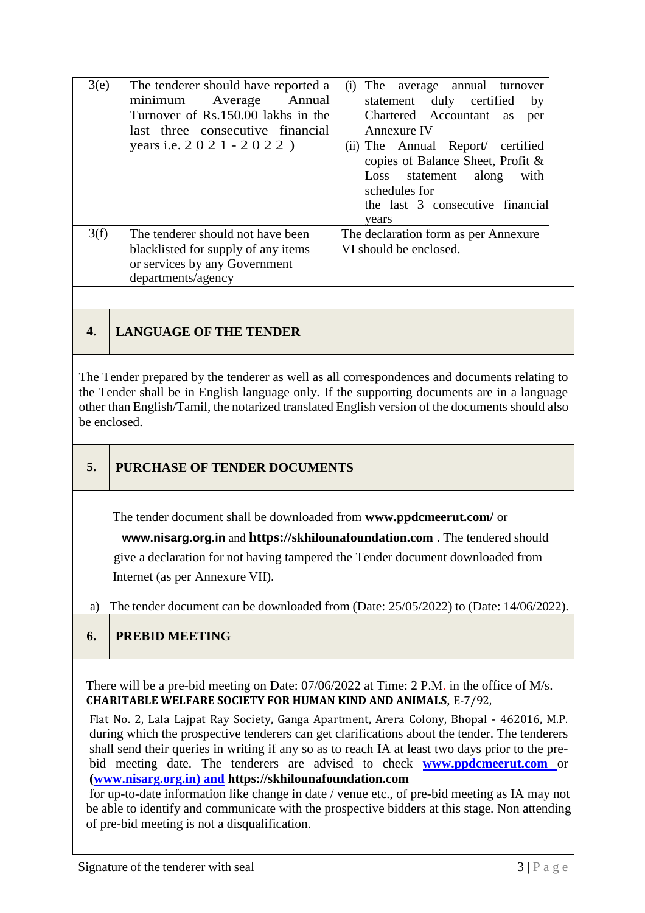| 3(e) | The tenderer should have reported a<br>minimum<br>Average<br>Annual | (i) The average annual turnover<br>statement duly certified<br>by |  |  |
|------|---------------------------------------------------------------------|-------------------------------------------------------------------|--|--|
|      | Turnover of Rs.150.00 lakhs in the                                  | Chartered Accountant as<br>per                                    |  |  |
|      | last three consecutive financial                                    | Annexure IV                                                       |  |  |
|      | years i.e. 2 0 2 1 - 2 0 2 2 )                                      | (ii) The Annual Report/ certified                                 |  |  |
|      |                                                                     | copies of Balance Sheet, Profit &                                 |  |  |
|      |                                                                     | Loss statement along<br>with                                      |  |  |
|      |                                                                     | schedules for                                                     |  |  |
|      |                                                                     | the last 3 consecutive financial                                  |  |  |
|      |                                                                     | vears                                                             |  |  |
| 3(f) | The tenderer should not have been                                   | The declaration form as per Annexure                              |  |  |
|      | blacklisted for supply of any items                                 | VI should be enclosed.                                            |  |  |
|      | or services by any Government                                       |                                                                   |  |  |
|      | departments/agency                                                  |                                                                   |  |  |

## **4. LANGUAGE OF THE TENDER**

The Tender prepared by the tenderer as well as all correspondences and documents relating to the Tender shall be in English language only. If the supporting documents are in a language other than English/Tamil, the notarized translated English version of the documents should also be enclosed.

### **5. PURCHASE OF TENDER DOCUMENTS**

The tender document shall be downloaded from **[www.ppdcmeerut.com/](http://www.ppdcagra.dcmsme.gov.in/)** or

 **www.nisarg.org.in** and **https://[skhilounafoundation.com](https://skhilounafoundation.com/)** . The tendered should give a declaration for not having tampered the Tender document downloaded from Internet (as per Annexure VII).

a) The tender document can be downloaded from (Date: 25/05/2022) to (Date: 14/06/2022).

#### **6. PREBID MEETING**

There will be a pre-bid meeting on Date: 07/06/2022 at Time: 2 P.M. in the office of M/s. **CHARITABLE WELFARE SOCIETY FOR HUMAN KIND AND ANIMALS**, E-7/92,

Flat No. 2, Lala Lajpat Ray Society, Ganga Apartment, Arera Colony, Bhopal - 462016, M.P. during which the prospective tenderers can get clarifications about the tender. The tenderers shall send their queries in writing if any so as to reach IA at least two days prior to the prebid meeting date. The tenderers are advised to check **www.ppdcmeerut.com** or **(www.nisarg.org.in) and https://skhilounafoundation.com**

for up-to-date information like change in date / venue etc., of pre-bid meeting as IA may not be able to identify and communicate with the prospective bidders at this stage. Non attending of pre-bid meeting is not a disqualification.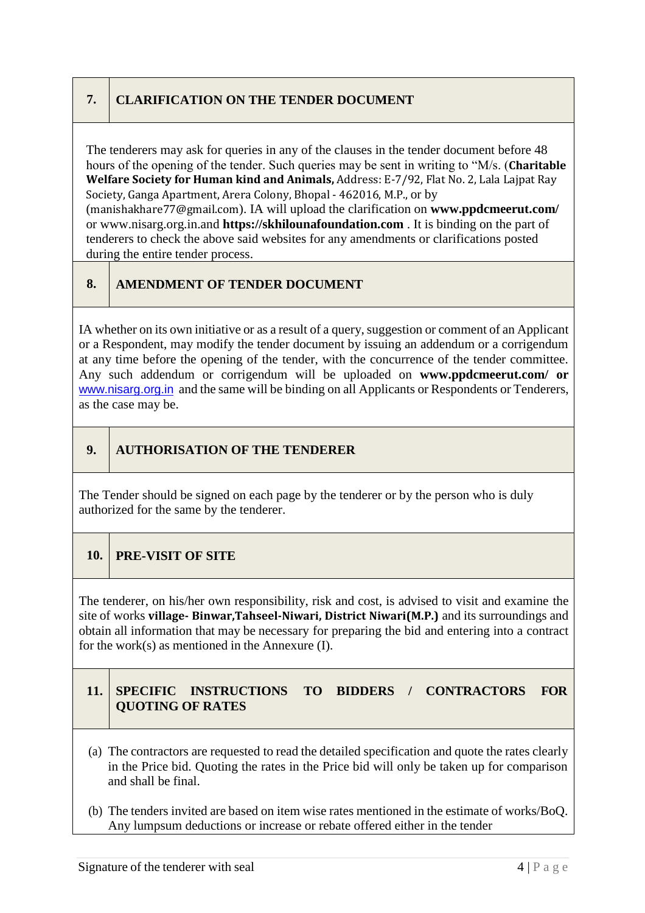## **7. CLARIFICATION ON THE TENDER DOCUMENT**

The tenderers may ask for queries in any of the clauses in the tender document before 48 hours of the opening of the tender. Such queries may be sent in writing to "M/s. (**Charitable Welfare Society for Human kind and Animals,** Address: E-7/92, Flat No. 2, Lala Lajpat Ray Society, Ganga Apartment, Arera Colony, Bhopal - 462016, M.P., or by (manishakhare77@gmail.com). IA will upload the clarification on **[www.ppdcmeerut.com/](http://www.ppdcagra.dcmsme.gov.in/)** or [www.nisarg.org.in.](http://www.nisarg.org.in/)and **[https://skhilounafoundation.com](http://www.itcot.com/)** . It is binding on the part of tenderers to check the above said websites for any amendments or clarifications posted during the entire tender process.

## **8. AMENDMENT OF TENDER DOCUMENT**

IA whether on its own initiative or as a result of a query, suggestion or comment of an Applicant or a Respondent, may modify the tender document by issuing an addendum or a corrigendum at any time before the opening of the tender, with the concurrence of the tender committee. Any such addendum or corrigendum will be uploaded on **[www.ppdcmeerut.com/](http://www.ppdcagra.dcmsme.gov.in/) or**  [www.nisarg.org.in](http://www.nisarg.org.in/) and the same will be binding on all Applicants or Respondents or Tenderers, as the case may be.

## **9. AUTHORISATION OF THE TENDERER**

The Tender should be signed on each page by the tenderer or by the person who is duly authorized for the same by the tenderer.

### **10. PRE-VISIT OF SITE**

The tenderer, on his/her own responsibility, risk and cost, is advised to visit and examine the site of works **village- Binwar,Tahseel-Niwari, District Niwari(M.P.)** and its surroundings and obtain all information that may be necessary for preparing the bid and entering into a contract for the work(s) as mentioned in the Annexure (I).

### **11. SPECIFIC INSTRUCTIONS TO BIDDERS / CONTRACTORS FOR QUOTING OF RATES**

- (a) The contractors are requested to read the detailed specification and quote the rates clearly in the Price bid. Quoting the rates in the Price bid will only be taken up for comparison and shall be final.
- (b) The tenders invited are based on item wise rates mentioned in the estimate of works/BoQ. Any lumpsum deductions or increase or rebate offered either in the tender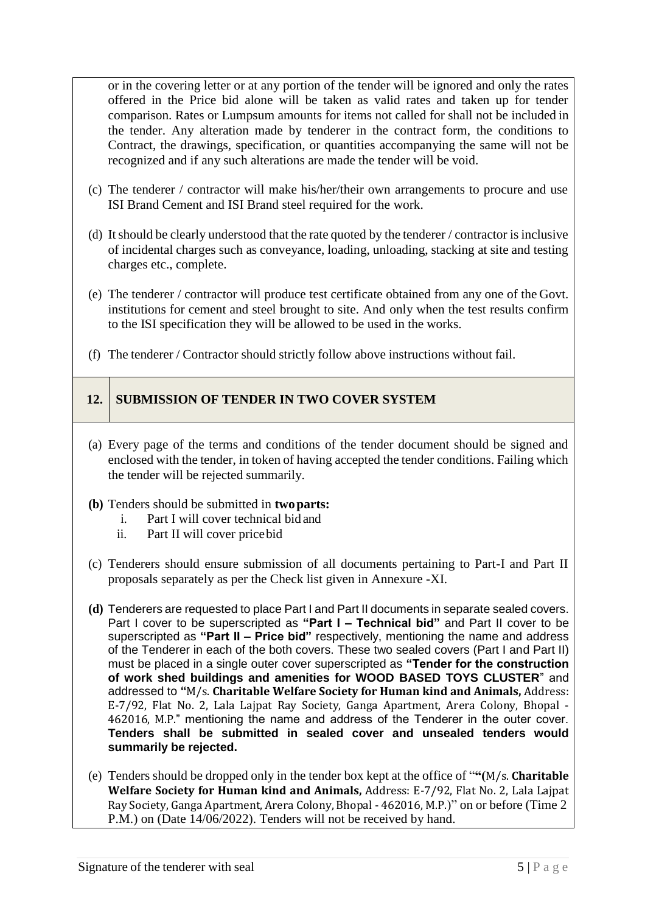or in the covering letter or at any portion of the tender will be ignored and only the rates offered in the Price bid alone will be taken as valid rates and taken up for tender comparison. Rates or Lumpsum amounts for items not called for shall not be included in the tender. Any alteration made by tenderer in the contract form, the conditions to Contract, the drawings, specification, or quantities accompanying the same will not be recognized and if any such alterations are made the tender will be void.

- (c) The tenderer / contractor will make his/her/their own arrangements to procure and use ISI Brand Cement and ISI Brand steel required for the work.
- (d) Itshould be clearly understood that the rate quoted by the tenderer / contractor is inclusive of incidental charges such as conveyance, loading, unloading, stacking at site and testing charges etc., complete.
- (e) The tenderer / contractor will produce test certificate obtained from any one of the Govt. institutions for cement and steel brought to site. And only when the test results confirm to the ISI specification they will be allowed to be used in the works.
- (f) The tenderer / Contractor should strictly follow above instructions without fail.

### **12. SUBMISSION OF TENDER IN TWO COVER SYSTEM**

(a) Every page of the terms and conditions of the tender document should be signed and enclosed with the tender, in token of having accepted the tender conditions. Failing which the tender will be rejected summarily.

#### **(b)** Tenders should be submitted in **twoparts:**

- i. Part I will cover technical bid and
- ii. Part II will cover pricebid
- (c) Tenderers should ensure submission of all documents pertaining to Part-I and Part II proposals separately as per the Check list given in Annexure -XI.
- **(d)** Tenderers are requested to place Part I and Part II documents in separate sealed covers. Part I cover to be superscripted as **"Part I – Technical bid"** and Part II cover to be superscripted as **"Part II – Price bid"** respectively, mentioning the name and address of the Tenderer in each of the both covers. These two sealed covers (Part I and Part II) must be placed in a single outer cover superscripted as **"Tender for the construction of work shed buildings and amenities for WOOD BASED TOYS CLUSTER**" and addressed to **"**M/s. **Charitable Welfare Society for Human kind and Animals,** Address: E-7/92, Flat No. 2, Lala Lajpat Ray Society, Ganga Apartment, Arera Colony, Bhopal - 462016, M.P." mentioning the name and address of the Tenderer in the outer cover. **Tenders shall be submitted in sealed cover and unsealed tenders would summarily be rejected.**
- (e) Tenders should be dropped only in the tender box kept at the office of "**"(**M/s. **Charitable Welfare Society for Human kind and Animals,** Address: E-7/92, Flat No. 2, Lala Lajpat Ray Society, Ganga Apartment, Arera Colony, Bhopal - 462016, M.P.)" on or before (Time 2 P.M.) on (Date 14/06/2022). Tenders will not be received by hand.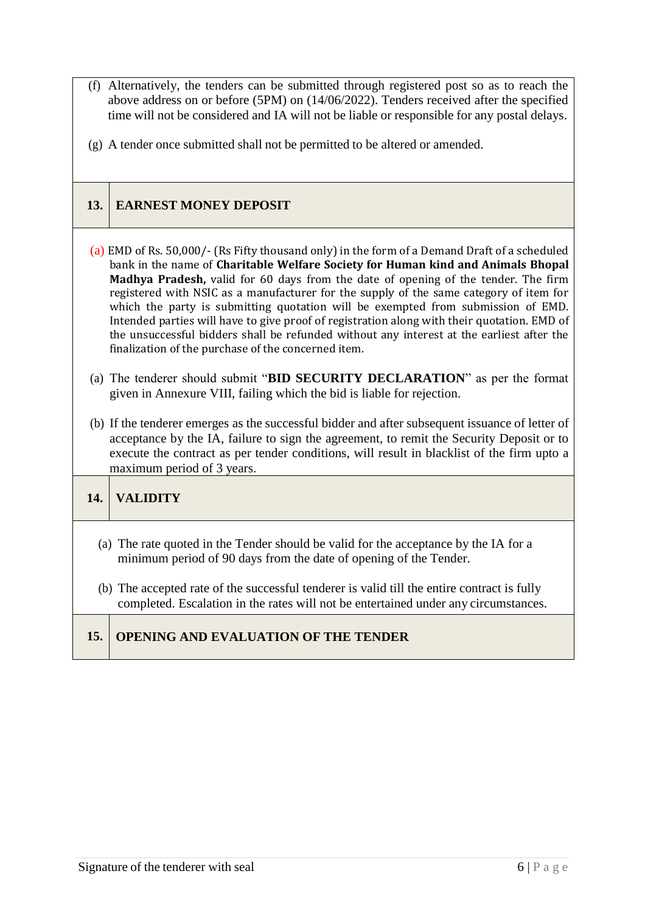- (f) Alternatively, the tenders can be submitted through registered post so as to reach the above address on or before (5PM) on (14/06/2022). Tenders received after the specified time will not be considered and IA will not be liable or responsible for any postal delays.
- (g) A tender once submitted shall not be permitted to be altered or amended.

## **13. EARNEST MONEY DEPOSIT**

- (a) EMD of Rs. 50,000/- (Rs Fifty thousand only) in the form of a Demand Draft of a scheduled bank in the name of **Charitable Welfare Society for Human kind and Animals Bhopal Madhya Pradesh,** valid for 60 days from the date of opening of the tender. The firm registered with NSIC as a manufacturer for the supply of the same category of item for which the party is submitting quotation will be exempted from submission of EMD. Intended parties will have to give proof of registration along with their quotation. EMD of the unsuccessful bidders shall be refunded without any interest at the earliest after the finalization of the purchase of the concerned item.
- (a) The tenderer should submit "**BID SECURITY DECLARATION**" as per the format given in Annexure VIII, failing which the bid is liable for rejection.
- (b) If the tenderer emerges as the successful bidder and after subsequent issuance of letter of acceptance by the IA, failure to sign the agreement, to remit the Security Deposit or to execute the contract as per tender conditions, will result in blacklist of the firm upto a maximum period of 3 years.

**14. VALIDITY**

- (a) The rate quoted in the Tender should be valid for the acceptance by the IA for a minimum period of 90 days from the date of opening of the Tender.
- (b) The accepted rate of the successful tenderer is valid till the entire contract is fully completed. Escalation in the rates will not be entertained under any circumstances.

### **15. OPENING AND EVALUATION OF THE TENDER**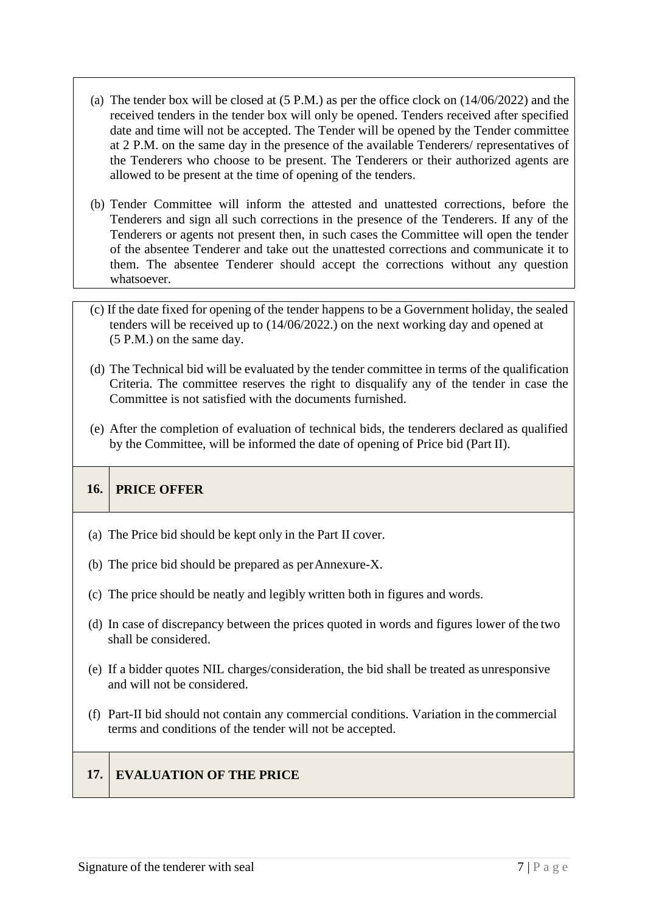- (a) The tender box will be closed at (5 P.M.) as per the office clock on (14/06/2022) and the received tenders in the tender box will only be opened. Tenders received after specified date and time will not be accepted. The Tender will be opened by the Tender committee at 2 P.M. on the same day in the presence of the available Tenderers/ representatives of the Tenderers who choose to be present. The Tenderers or their authorized agents are allowed to be present at the time of opening of the tenders.
- (b) Tender Committee will inform the attested and unattested corrections, before the Tenderers and sign all such corrections in the presence of the Tenderers. If any of the Tenderers or agents not present then, in such cases the Committee will open the tender of the absentee Tenderer and take out the unattested corrections and communicate it to them. The absentee Tenderer should accept the corrections without any question whatsoever.
- (c) If the date fixed for opening of the tender happens to be a Government holiday, the sealed tenders will be received up to (14/06/2022.) on the next working day and opened at (5 P.M.) on the same day.
- (d) The Technical bid will be evaluated by the tender committee in terms of the qualification Criteria. The committee reserves the right to disqualify any of the tender in case the Committee is not satisfied with the documents furnished.
- (e) After the completion of evaluation of technical bids, the tenderers declared as qualified by the Committee, will be informed the date of opening of Price bid (Part II).

### **16. PRICE OFFER**

- (a) The Price bid should be kept only in the Part II cover.
- (b) The price bid should be prepared as perAnnexure-X.
- (c) The price should be neatly and legibly written both in figures and words.
- (d) In case of discrepancy between the prices quoted in words and figures lower of the two shall be considered.
- (e) If a bidder quotes NIL charges/consideration, the bid shall be treated as unresponsive and will not be considered.
- (f) Part-II bid should not contain any commercial conditions. Variation in the commercial terms and conditions of the tender will not be accepted.

### **17. EVALUATION OF THE PRICE**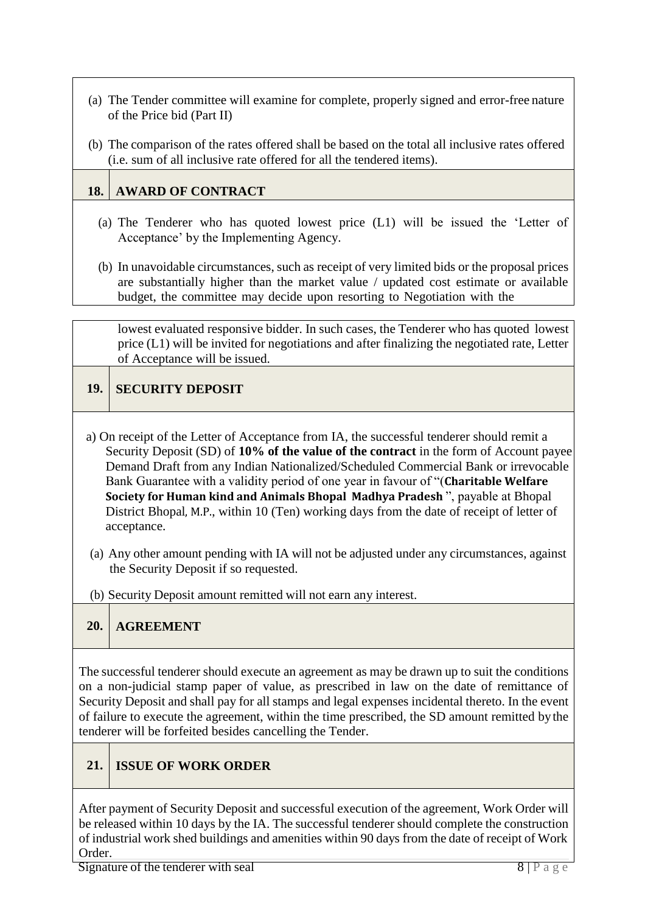- (a) The Tender committee will examine for complete, properly signed and error-free nature of the Price bid (Part II)
- (b) The comparison of the rates offered shall be based on the total all inclusive rates offered (i.e. sum of all inclusive rate offered for all the tendered items).

## **18. AWARD OF CONTRACT**

- (a) The Tenderer who has quoted lowest price (L1) will be issued the 'Letter of Acceptance' by the Implementing Agency.
- (b) In unavoidable circumstances, such as receipt of very limited bids or the proposal prices are substantially higher than the market value / updated cost estimate or available budget, the committee may decide upon resorting to Negotiation with the

lowest evaluated responsive bidder. In such cases, the Tenderer who has quoted lowest price (L1) will be invited for negotiations and after finalizing the negotiated rate, Letter of Acceptance will be issued.

## **19. SECURITY DEPOSIT**

- a) On receipt of the Letter of Acceptance from IA, the successful tenderer should remit a Security Deposit (SD) of **10% of the value of the contract** in the form of Account payee Demand Draft from any Indian Nationalized/Scheduled Commercial Bank or irrevocable Bank Guarantee with a validity period of one year in favour of "(**Charitable Welfare Society for Human kind and Animals Bhopal Madhya Pradesh** ", payable at Bhopal District Bhopal, M.P., within 10 (Ten) working days from the date of receipt of letter of acceptance.
- (a) Any other amount pending with IA will not be adjusted under any circumstances, against the Security Deposit if so requested.
- (b) Security Deposit amount remitted will not earn any interest.

## **20. AGREEMENT**

The successful tenderer should execute an agreement as may be drawn up to suit the conditions on a non-judicial stamp paper of value, as prescribed in law on the date of remittance of Security Deposit and shall pay for all stamps and legal expenses incidental thereto. In the event of failure to execute the agreement, within the time prescribed, the SD amount remitted bythe tenderer will be forfeited besides cancelling the Tender.

## **21. ISSUE OF WORK ORDER**

After payment of Security Deposit and successful execution of the agreement, Work Order will be released within 10 days by the IA. The successful tenderer should complete the construction of industrial work shed buildings and amenities within 90 days from the date of receipt of Work Order.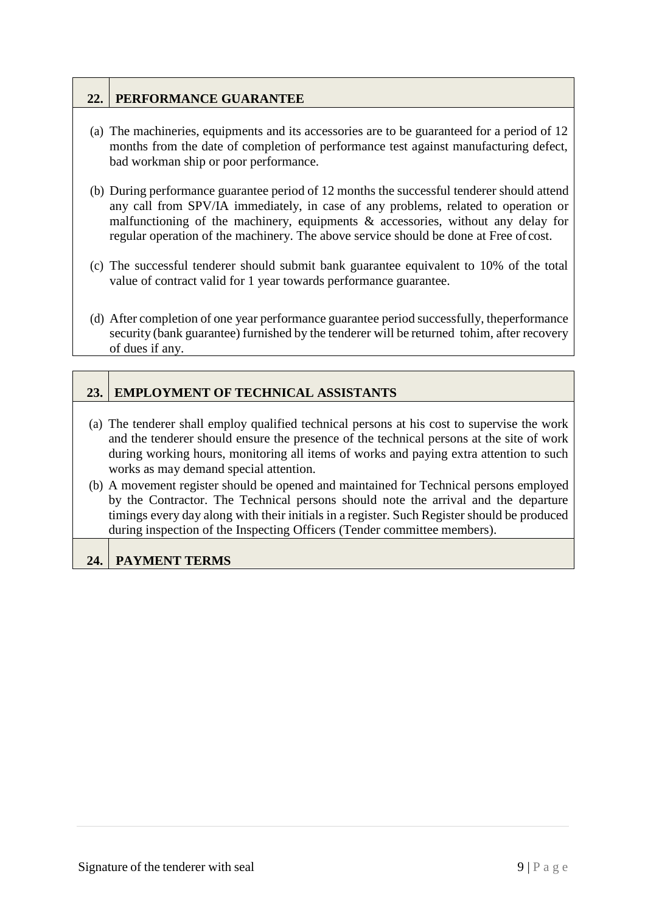## **22. PERFORMANCE GUARANTEE**

- (a) The machineries, equipments and its accessories are to be guaranteed for a period of 12 months from the date of completion of performance test against manufacturing defect, bad workman ship or poor performance.
- (b) During performance guarantee period of 12 months the successful tenderer should attend any call from SPV/IA immediately, in case of any problems, related to operation or malfunctioning of the machinery, equipments & accessories, without any delay for regular operation of the machinery. The above service should be done at Free of cost.
- (c) The successful tenderer should submit bank guarantee equivalent to 10% of the total value of contract valid for 1 year towards performance guarantee.
- (d) After completion of one year performance guarantee period successfully, theperformance security (bank guarantee) furnished by the tenderer will be returned tohim, after recovery of dues if any.

## **23. EMPLOYMENT OF TECHNICAL ASSISTANTS**

- (a) The tenderer shall employ qualified technical persons at his cost to supervise the work and the tenderer should ensure the presence of the technical persons at the site of work during working hours, monitoring all items of works and paying extra attention to such works as may demand special attention.
- (b) A movement register should be opened and maintained for Technical persons employed by the Contractor. The Technical persons should note the arrival and the departure timings every day along with their initials in a register. Such Register should be produced during inspection of the Inspecting Officers (Tender committee members).

### **24. PAYMENT TERMS**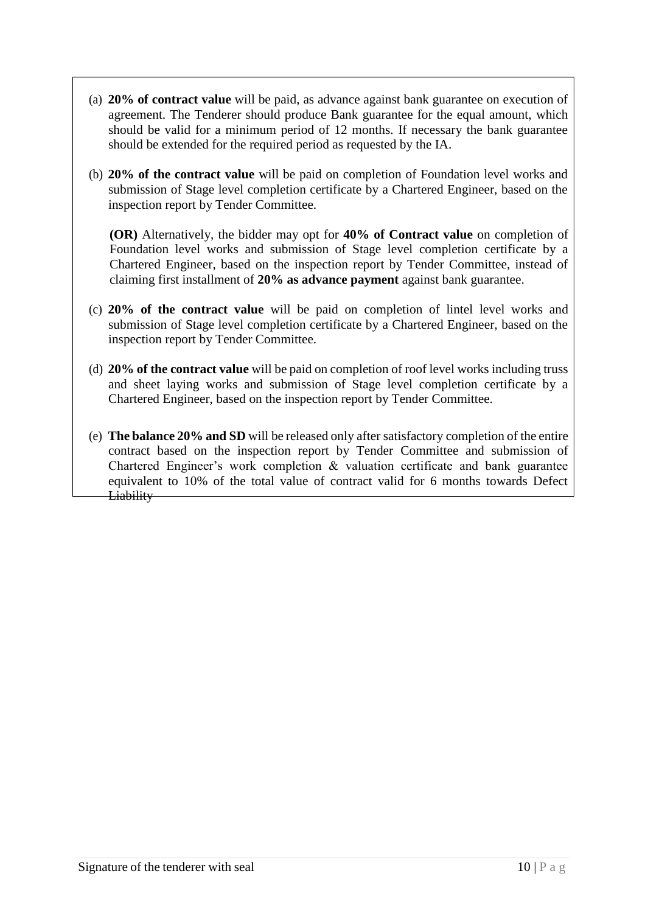- (a) **20% of contract value** will be paid, as advance against bank guarantee on execution of agreement. The Tenderer should produce Bank guarantee for the equal amount, which should be valid for a minimum period of 12 months. If necessary the bank guarantee should be extended for the required period as requested by the IA.
- (b) **20% of the contract value** will be paid on completion of Foundation level works and submission of Stage level completion certificate by a Chartered Engineer, based on the inspection report by Tender Committee.

**(OR)** Alternatively, the bidder may opt for **40% of Contract value** on completion of Foundation level works and submission of Stage level completion certificate by a Chartered Engineer, based on the inspection report by Tender Committee, instead of claiming first installment of **20% as advance payment** against bank guarantee.

- (c) **20% of the contract value** will be paid on completion of lintel level works and submission of Stage level completion certificate by a Chartered Engineer, based on the inspection report by Tender Committee.
- (d) **20% of the contract value** will be paid on completion of roof level works including truss and sheet laying works and submission of Stage level completion certificate by a Chartered Engineer, based on the inspection report by Tender Committee.
- (e) **The balance 20% and SD** will be released only after satisfactory completion of the entire contract based on the inspection report by Tender Committee and submission of Chartered Engineer's work completion & valuation certificate and bank guarantee equivalent to 10% of the total value of contract valid for 6 months towards Defect **Liability**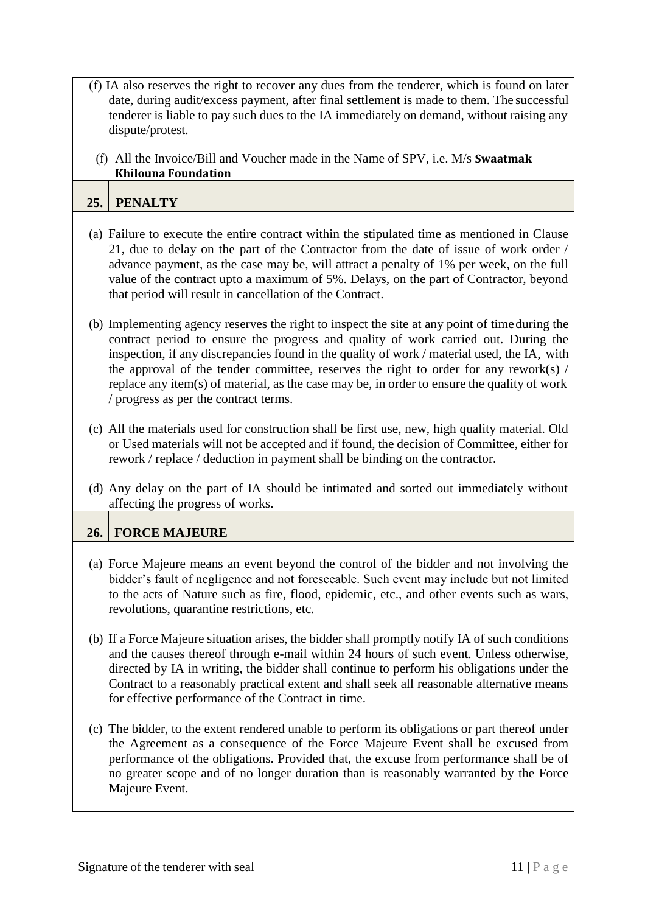- (f) IA also reserves the right to recover any dues from the tenderer, which is found on later date, during audit/excess payment, after final settlement is made to them. The successful tenderer is liable to pay such dues to the IA immediately on demand, without raising any dispute/protest.
	- (f) All the Invoice/Bill and Voucher made in the Name of SPV, i.e. M/s **Swaatmak Khilouna Foundation**

#### **25. PENALTY**

- (a) Failure to execute the entire contract within the stipulated time as mentioned in Clause 21, due to delay on the part of the Contractor from the date of issue of work order / advance payment, as the case may be, will attract a penalty of 1% per week, on the full value of the contract upto a maximum of 5%. Delays, on the part of Contractor, beyond that period will result in cancellation of the Contract.
- (b) Implementing agency reserves the right to inspect the site at any point of timeduring the contract period to ensure the progress and quality of work carried out. During the inspection, if any discrepancies found in the quality of work / material used, the IA, with the approval of the tender committee, reserves the right to order for any rework(s)  $/$ replace any item(s) of material, as the case may be, in order to ensure the quality of work / progress as per the contract terms.
- (c) All the materials used for construction shall be first use, new, high quality material. Old or Used materials will not be accepted and if found, the decision of Committee, either for rework / replace / deduction in payment shall be binding on the contractor.
- (d) Any delay on the part of IA should be intimated and sorted out immediately without affecting the progress of works.

#### **26. FORCE MAJEURE**

- (a) Force Majeure means an event beyond the control of the bidder and not involving the bidder's fault of negligence and not foreseeable. Such event may include but not limited to the acts of Nature such as fire, flood, epidemic, etc., and other events such as wars, revolutions, quarantine restrictions, etc.
- (b) If a Force Majeure situation arises, the bidder shall promptly notify IA of such conditions and the causes thereof through e-mail within 24 hours of such event. Unless otherwise, directed by IA in writing, the bidder shall continue to perform his obligations under the Contract to a reasonably practical extent and shall seek all reasonable alternative means for effective performance of the Contract in time.
- (c) The bidder, to the extent rendered unable to perform its obligations or part thereof under the Agreement as a consequence of the Force Majeure Event shall be excused from performance of the obligations. Provided that, the excuse from performance shall be of no greater scope and of no longer duration than is reasonably warranted by the Force Majeure Event.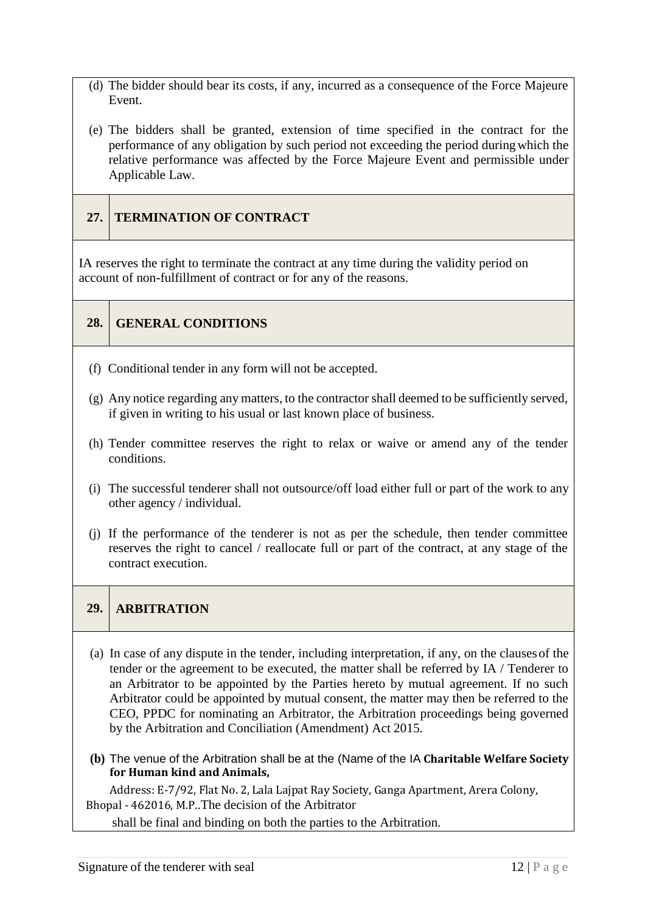- (d) The bidder should bear its costs, if any, incurred as a consequence of the Force Majeure Event.
- (e) The bidders shall be granted, extension of time specified in the contract for the performance of any obligation by such period not exceeding the period duringwhich the relative performance was affected by the Force Majeure Event and permissible under Applicable Law.

## **27. TERMINATION OF CONTRACT**

IA reserves the right to terminate the contract at any time during the validity period on account of non-fulfillment of contract or for any of the reasons.

**28. GENERAL CONDITIONS**

- (f) Conditional tender in any form will not be accepted.
- (g) Any notice regarding any matters, to the contractor shall deemed to be sufficiently served, if given in writing to his usual or last known place of business.
- (h) Tender committee reserves the right to relax or waive or amend any of the tender conditions.
- (i) The successful tenderer shall not outsource/off load either full or part of the work to any other agency / individual.
- (j) If the performance of the tenderer is not as per the schedule, then tender committee reserves the right to cancel / reallocate full or part of the contract, at any stage of the contract execution.

### **29. ARBITRATION**

- (a) In case of any dispute in the tender, including interpretation, if any, on the clausesof the tender or the agreement to be executed, the matter shall be referred by IA / Tenderer to an Arbitrator to be appointed by the Parties hereto by mutual agreement. If no such Arbitrator could be appointed by mutual consent, the matter may then be referred to the CEO, PPDC for nominating an Arbitrator, the Arbitration proceedings being governed by the Arbitration and Conciliation (Amendment) Act 2015.
- **(b)** The venue of the Arbitration shall be at the (Name of the IA **Charitable Welfare Society for Human kind and Animals,**

Address: E-7/92, Flat No. 2, Lala Lajpat Ray Society, Ganga Apartment, Arera Colony, Bhopal - 462016, M.P..The decision of the Arbitrator

shall be final and binding on both the parties to the Arbitration.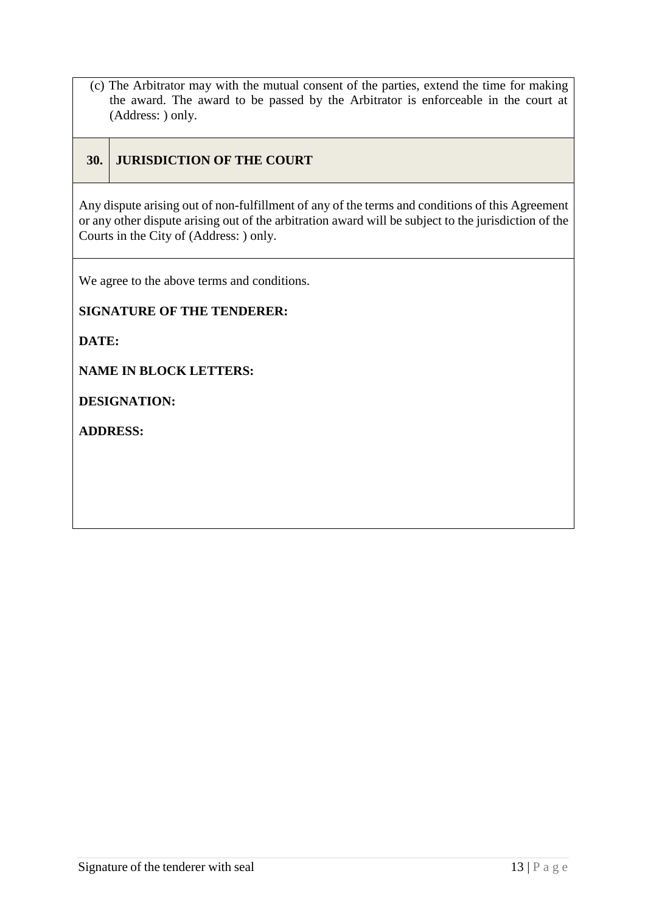(c) The Arbitrator may with the mutual consent of the parties, extend the time for making the award. The award to be passed by the Arbitrator is enforceable in the court at (Address: ) only.

### **30. JURISDICTION OF THE COURT**

Any dispute arising out of non-fulfillment of any of the terms and conditions of this Agreement or any other dispute arising out of the arbitration award will be subject to the jurisdiction of the Courts in the City of (Address: ) only.

We agree to the above terms and conditions.

**SIGNATURE OF THE TENDERER:** 

**DATE:**

**NAME IN BLOCK LETTERS:** 

**DESIGNATION:**

**ADDRESS:**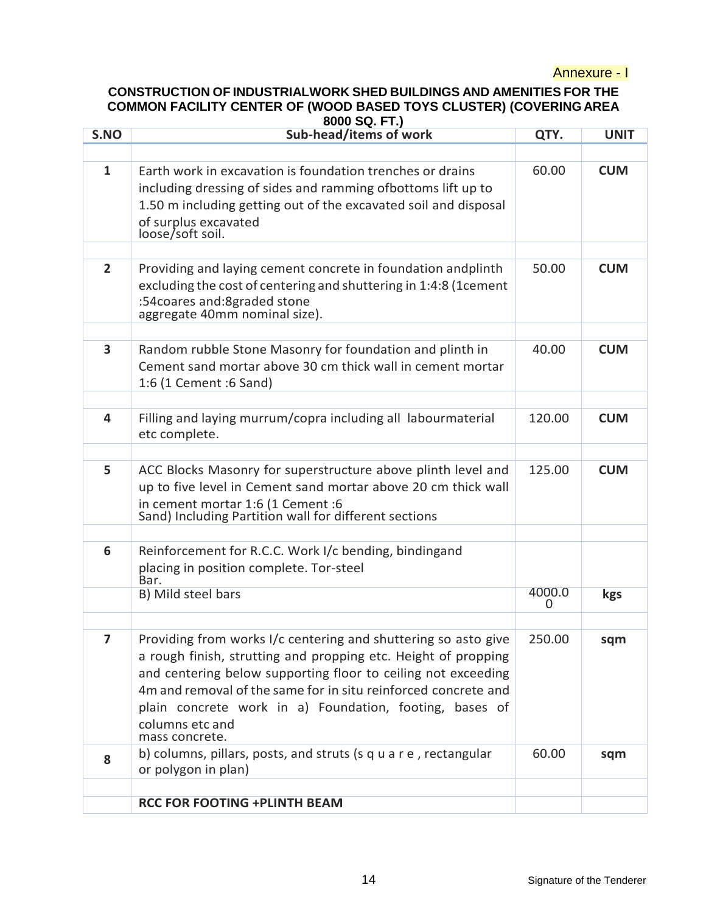#### Annexure - I

## **CONSTRUCTION OF INDUSTRIALWORK SHED BUILDINGS AND AMENITIES FOR THE COMMON FACILITY CENTER OF (WOOD BASED TOYS CLUSTER) (COVERINGAREA**

|                          | 8000 SQ. FT.)                                                                              |                        |             |  |  |  |
|--------------------------|--------------------------------------------------------------------------------------------|------------------------|-------------|--|--|--|
| S.NO                     | Sub-head/items of work                                                                     | QTY.                   | <b>UNIT</b> |  |  |  |
|                          |                                                                                            |                        |             |  |  |  |
| $\mathbf{1}$             | Earth work in excavation is foundation trenches or drains                                  | 60.00                  | <b>CUM</b>  |  |  |  |
|                          | including dressing of sides and ramming ofbottoms lift up to                               |                        |             |  |  |  |
|                          | 1.50 m including getting out of the excavated soil and disposal                            |                        |             |  |  |  |
|                          | of surplus excavated                                                                       |                        |             |  |  |  |
|                          | loose/soft soil.                                                                           |                        |             |  |  |  |
|                          |                                                                                            |                        |             |  |  |  |
| $\overline{2}$           | Providing and laying cement concrete in foundation andplinth                               | 50.00                  | <b>CUM</b>  |  |  |  |
|                          | excluding the cost of centering and shuttering in 1:4:8 (1cement                           |                        |             |  |  |  |
|                          | :54 coares and: 8 graded stone                                                             |                        |             |  |  |  |
|                          | aggregate 40mm nominal size).                                                              |                        |             |  |  |  |
|                          |                                                                                            |                        |             |  |  |  |
| 3                        | Random rubble Stone Masonry for foundation and plinth in                                   | 40.00                  | <b>CUM</b>  |  |  |  |
|                          | Cement sand mortar above 30 cm thick wall in cement mortar                                 |                        |             |  |  |  |
|                          | 1:6 (1 Cement :6 Sand)                                                                     |                        |             |  |  |  |
|                          |                                                                                            |                        |             |  |  |  |
| 4                        | Filling and laying murrum/copra including all labourmaterial                               | 120.00                 | <b>CUM</b>  |  |  |  |
|                          | etc complete.                                                                              |                        |             |  |  |  |
|                          |                                                                                            |                        |             |  |  |  |
| 5                        | ACC Blocks Masonry for superstructure above plinth level and                               | 125.00                 | <b>CUM</b>  |  |  |  |
|                          | up to five level in Cement sand mortar above 20 cm thick wall                              |                        |             |  |  |  |
|                          | in cement mortar 1:6 (1 Cement :6<br>Sand) Including Partition wall for different sections |                        |             |  |  |  |
|                          |                                                                                            |                        |             |  |  |  |
| 6                        | Reinforcement for R.C.C. Work I/c bending, bindingand                                      |                        |             |  |  |  |
|                          | placing in position complete. Tor-steel                                                    |                        |             |  |  |  |
|                          | Bar.                                                                                       |                        |             |  |  |  |
|                          | B) Mild steel bars                                                                         | 4000.0<br><sup>n</sup> | kgs         |  |  |  |
|                          |                                                                                            |                        |             |  |  |  |
| $\overline{\phantom{a}}$ | Providing from works I/c centering and shuttering so asto give                             | 250.00                 | sqm         |  |  |  |
|                          | a rough finish, strutting and propping etc. Height of propping                             |                        |             |  |  |  |
|                          | and centering below supporting floor to ceiling not exceeding                              |                        |             |  |  |  |
|                          | 4m and removal of the same for in situ reinforced concrete and                             |                        |             |  |  |  |
|                          | plain concrete work in a) Foundation, footing, bases of                                    |                        |             |  |  |  |
|                          | columns etc and                                                                            |                        |             |  |  |  |
|                          | mass concrete.                                                                             |                        |             |  |  |  |
| 8                        | b) columns, pillars, posts, and struts (s q u a r e, rectangular                           | 60.00                  | sqm         |  |  |  |
|                          | or polygon in plan)                                                                        |                        |             |  |  |  |
|                          |                                                                                            |                        |             |  |  |  |
|                          | <b>RCC FOR FOOTING +PLINTH BEAM</b>                                                        |                        |             |  |  |  |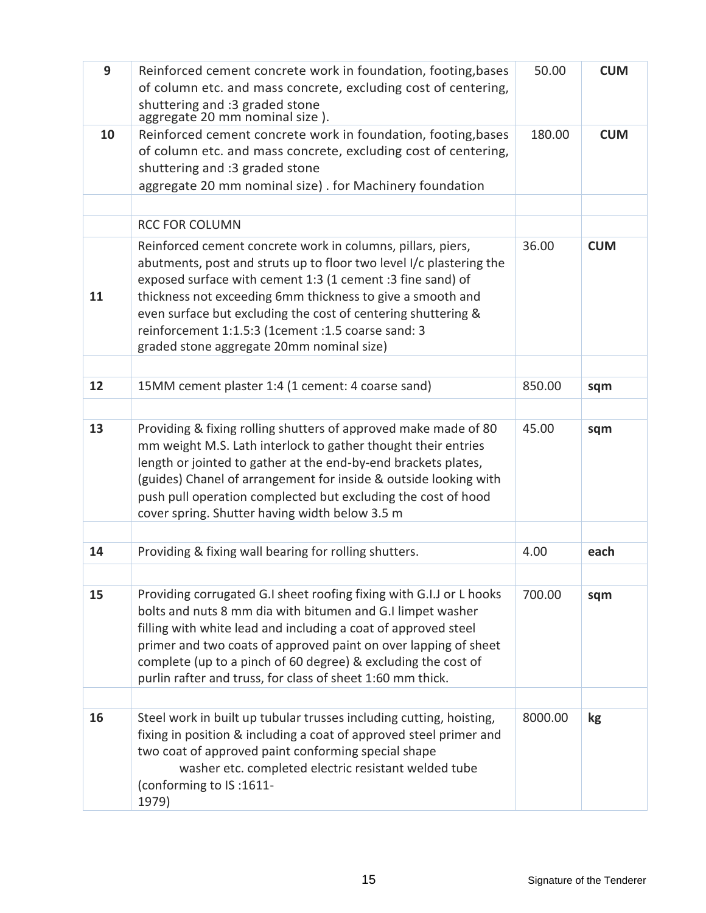| 9  | Reinforced cement concrete work in foundation, footing, bases                                                                                                                                                                                                                                                                                                                                                                      | 50.00   | <b>CUM</b> |
|----|------------------------------------------------------------------------------------------------------------------------------------------------------------------------------------------------------------------------------------------------------------------------------------------------------------------------------------------------------------------------------------------------------------------------------------|---------|------------|
|    | of column etc. and mass concrete, excluding cost of centering,                                                                                                                                                                                                                                                                                                                                                                     |         |            |
|    | shuttering and :3 graded stone<br>aggregate 20 mm nominal size).                                                                                                                                                                                                                                                                                                                                                                   |         |            |
| 10 | Reinforced cement concrete work in foundation, footing, bases                                                                                                                                                                                                                                                                                                                                                                      |         | <b>CUM</b> |
|    | of column etc. and mass concrete, excluding cost of centering,                                                                                                                                                                                                                                                                                                                                                                     |         |            |
|    | shuttering and :3 graded stone                                                                                                                                                                                                                                                                                                                                                                                                     |         |            |
|    | aggregate 20 mm nominal size). for Machinery foundation                                                                                                                                                                                                                                                                                                                                                                            |         |            |
|    |                                                                                                                                                                                                                                                                                                                                                                                                                                    |         |            |
|    | <b>RCC FOR COLUMN</b>                                                                                                                                                                                                                                                                                                                                                                                                              |         |            |
| 11 | Reinforced cement concrete work in columns, pillars, piers,<br>abutments, post and struts up to floor two level I/c plastering the<br>exposed surface with cement 1:3 (1 cement :3 fine sand) of<br>thickness not exceeding 6mm thickness to give a smooth and<br>even surface but excluding the cost of centering shuttering &<br>reinforcement 1:1.5:3 (1cement :1.5 coarse sand: 3<br>graded stone aggregate 20mm nominal size) | 36.00   | <b>CUM</b> |
|    |                                                                                                                                                                                                                                                                                                                                                                                                                                    |         |            |
| 12 | 15MM cement plaster 1:4 (1 cement: 4 coarse sand)                                                                                                                                                                                                                                                                                                                                                                                  | 850.00  | sqm        |
|    |                                                                                                                                                                                                                                                                                                                                                                                                                                    |         |            |
| 13 | Providing & fixing rolling shutters of approved make made of 80<br>mm weight M.S. Lath interlock to gather thought their entries<br>length or jointed to gather at the end-by-end brackets plates,<br>(guides) Chanel of arrangement for inside & outside looking with<br>push pull operation complected but excluding the cost of hood<br>cover spring. Shutter having width below 3.5 m                                          | 45.00   | sqm        |
| 14 | Providing & fixing wall bearing for rolling shutters.                                                                                                                                                                                                                                                                                                                                                                              | 4.00    | each       |
|    |                                                                                                                                                                                                                                                                                                                                                                                                                                    |         |            |
| 15 | Providing corrugated G.I sheet roofing fixing with G.I.J or L hooks<br>bolts and nuts 8 mm dia with bitumen and G.I limpet washer<br>filling with white lead and including a coat of approved steel<br>primer and two coats of approved paint on over lapping of sheet<br>complete (up to a pinch of 60 degree) & excluding the cost of<br>purlin rafter and truss, for class of sheet 1:60 mm thick.                              | 700.00  | sqm        |
|    |                                                                                                                                                                                                                                                                                                                                                                                                                                    |         |            |
| 16 | Steel work in built up tubular trusses including cutting, hoisting,<br>fixing in position & including a coat of approved steel primer and<br>two coat of approved paint conforming special shape<br>washer etc. completed electric resistant welded tube<br>(conforming to IS:1611-<br>1979)                                                                                                                                       | 8000.00 | kg         |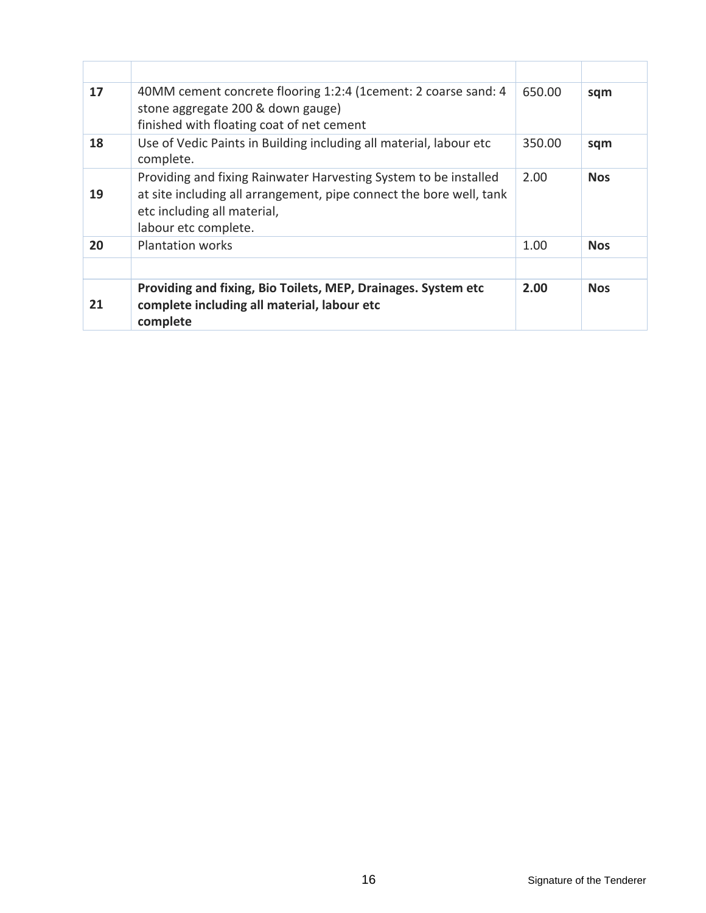| 17 | 40MM cement concrete flooring 1:2:4 (1 cement: 2 coarse sand: 4<br>stone aggregate 200 & down gauge)<br>finished with floating coat of net cement                                              | 650.00 | sqm        |
|----|------------------------------------------------------------------------------------------------------------------------------------------------------------------------------------------------|--------|------------|
| 18 | Use of Vedic Paints in Building including all material, labour etc<br>complete.                                                                                                                | 350.00 | sqm        |
| 19 | Providing and fixing Rainwater Harvesting System to be installed<br>at site including all arrangement, pipe connect the bore well, tank<br>etc including all material,<br>labour etc complete. | 2.00   | <b>Nos</b> |
| 20 | <b>Plantation works</b>                                                                                                                                                                        | 1.00   | <b>Nos</b> |
| 21 | Providing and fixing, Bio Toilets, MEP, Drainages. System etc<br>complete including all material, labour etc<br>complete                                                                       | 2.00   | <b>Nos</b> |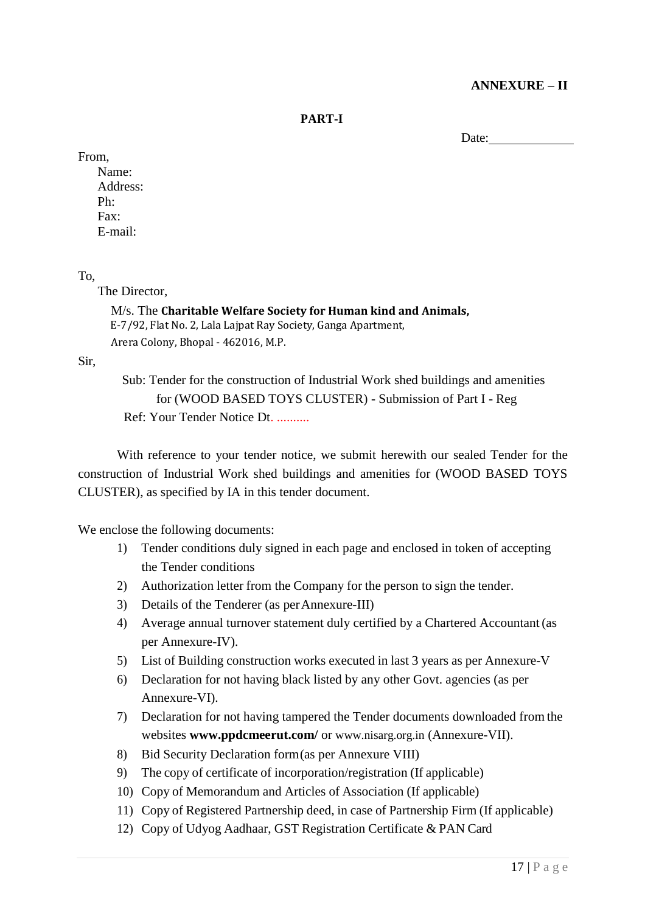#### **ANNEXURE – II**

**PART-I**

Date:  $\frac{1}{\sqrt{1-\frac{1}{2}} \cdot \frac{1}{2}}$ 

#### From,

Name: Address: Ph: Fax: E-mail:

#### To,

The Director,

#### M/s. The **Charitable Welfare Society for Human kind and Animals,** E-7/92, Flat No. 2, Lala Lajpat Ray Society, Ganga Apartment, Arera Colony, Bhopal - 462016, M.P.

Sir,

Sub: Tender for the construction of Industrial Work shed buildings and amenities for (WOOD BASED TOYS CLUSTER) - Submission of Part I - Reg Ref: Your Tender Notice Dt. ..........

With reference to your tender notice, we submit herewith our sealed Tender for the construction of Industrial Work shed buildings and amenities for (WOOD BASED TOYS CLUSTER), as specified by IA in this tender document.

We enclose the following documents:

- 1) Tender conditions duly signed in each page and enclosed in token of accepting the Tender conditions
- 2) Authorization letter from the Company for the person to sign the tender.
- 3) Details of the Tenderer (as perAnnexure-III)
- 4) Average annual turnover statement duly certified by a Chartered Accountant(as per Annexure-IV).
- 5) List of Building construction works executed in last 3 years as per Annexure-V
- 6) Declaration for not having black listed by any other Govt. agencies (as per Annexure-VI).
- 7) Declaration for not having tampered the Tender documents downloaded from the websites **[www.ppdcmeerut.com/](http://www.ppdcagra.dcmsme.gov.in/)** or [www.nisarg.org.in](http://www.nisarg.org.in/) (Annexure-VII).
- 8) Bid Security Declaration form(as per Annexure VIII)
- 9) The copy of certificate of incorporation/registration (If applicable)
- 10) Copy of Memorandum and Articles of Association (If applicable)
- 11) Copy of Registered Partnership deed, in case of Partnership Firm (If applicable)
- 12) Copy of Udyog Aadhaar, GST Registration Certificate & PAN Card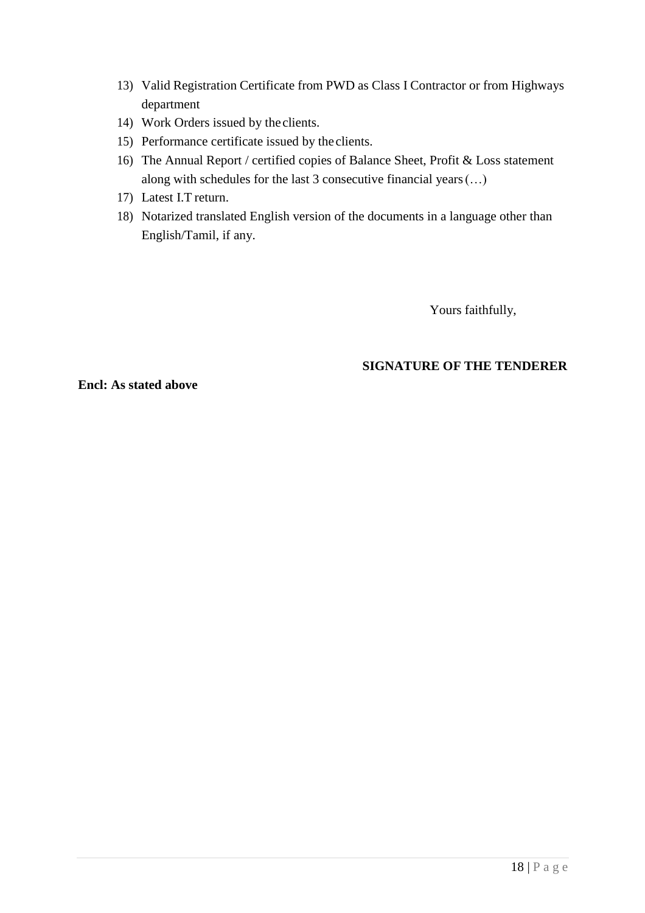- 13) Valid Registration Certificate from PWD as Class I Contractor or from Highways department
- 14) Work Orders issued by the clients.
- 15) Performance certificate issued by the clients.
- 16) The Annual Report / certified copies of Balance Sheet, Profit & Loss statement along with schedules for the last 3 consecutive financial years(…)
- 17) Latest I.T return.
- 18) Notarized translated English version of the documents in a language other than English/Tamil, if any.

Yours faithfully,

#### **SIGNATURE OF THE TENDERER**

**Encl: As stated above**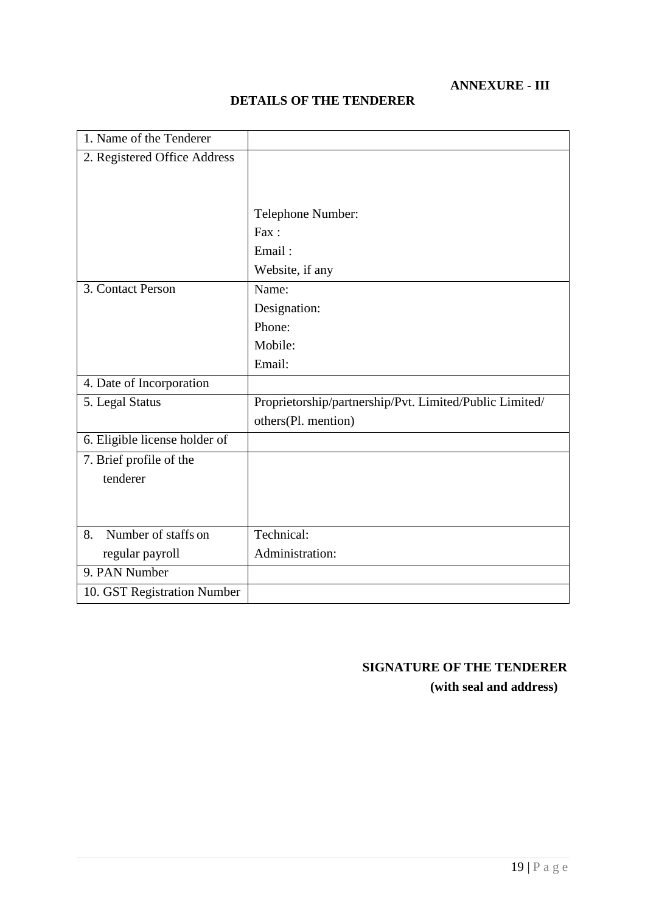### **ANNEXURE - III**

| 1. Name of the Tenderer       |                                                         |
|-------------------------------|---------------------------------------------------------|
| 2. Registered Office Address  |                                                         |
|                               |                                                         |
|                               |                                                         |
|                               | Telephone Number:                                       |
|                               | Fax:                                                    |
|                               | Email:                                                  |
|                               | Website, if any                                         |
| 3. Contact Person             | Name:                                                   |
|                               | Designation:                                            |
|                               | Phone:                                                  |
|                               | Mobile:                                                 |
|                               | Email:                                                  |
| 4. Date of Incorporation      |                                                         |
| 5. Legal Status               | Proprietorship/partnership/Pvt. Limited/Public Limited/ |
|                               | others(Pl. mention)                                     |
| 6. Eligible license holder of |                                                         |
| 7. Brief profile of the       |                                                         |
| tenderer                      |                                                         |
|                               |                                                         |
|                               |                                                         |
| Number of staffs on<br>8.     | Technical:                                              |
| regular payroll               | Administration:                                         |
| 9. PAN Number                 |                                                         |
| 10. GST Registration Number   |                                                         |

### **DETAILS OF THE TENDERER**

## **SIGNATURE OF THE TENDERER**

**(with seal and address)**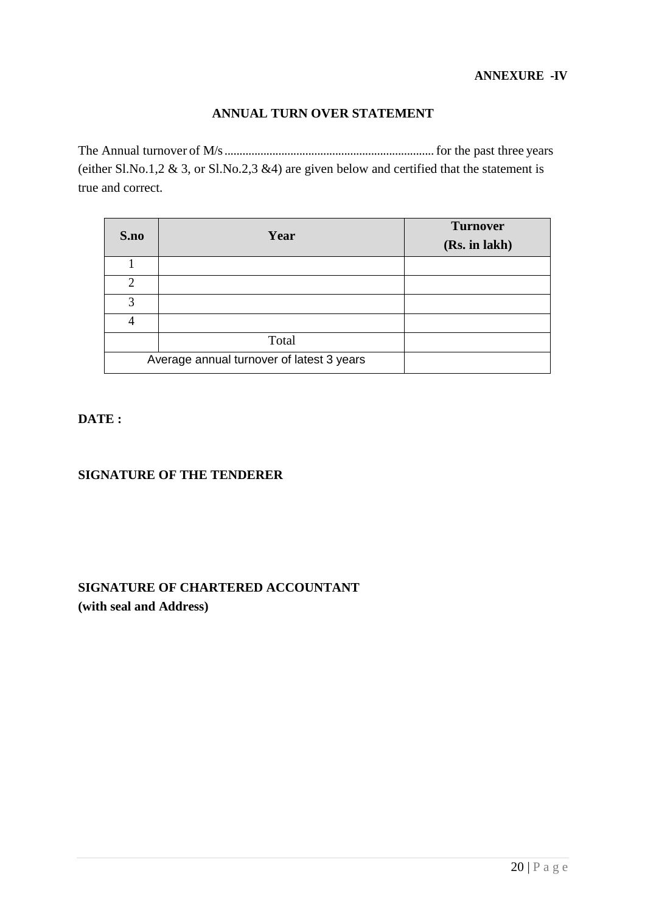#### **ANNUAL TURN OVER STATEMENT**

The Annual turnover of M/s......................................................................for the past three years (either Sl.No.1,2  $\&$  3, or Sl.No.2,3  $\&$ 4) are given below and certified that the statement is true and correct.

| S.no | Year                                      | <b>Turnover</b><br>(Rs. in lakh) |
|------|-------------------------------------------|----------------------------------|
|      |                                           |                                  |
| っ    |                                           |                                  |
| 3    |                                           |                                  |
|      |                                           |                                  |
|      | Total                                     |                                  |
|      | Average annual turnover of latest 3 years |                                  |

**DATE :**

#### **SIGNATURE OF THE TENDERER**

### **SIGNATURE OF CHARTERED ACCOUNTANT (with seal and Address)**

20 | P a g e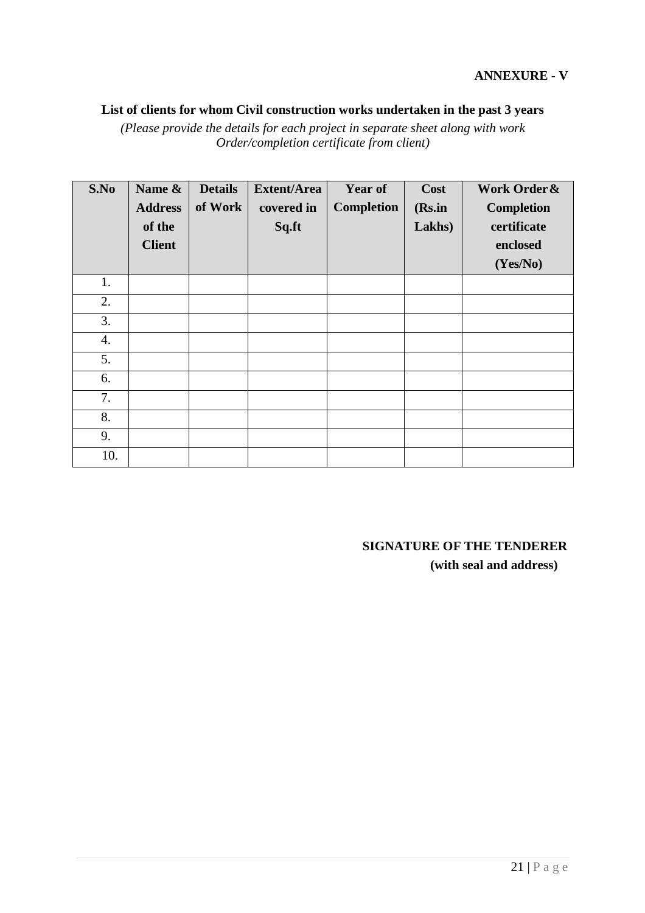### **List of clients for whom Civil construction works undertaken in the past 3 years**

*(Please provide the details for each project in separate sheet along with work Order/completion certificate from client)*

| S.No | Name &         | <b>Details</b> | <b>Extent/Area</b> | <b>Year of</b>    | Cost   | Work Order &      |
|------|----------------|----------------|--------------------|-------------------|--------|-------------------|
|      | <b>Address</b> | of Work        | covered in         | <b>Completion</b> | (Rs.in | <b>Completion</b> |
|      | of the         |                | Sq.ft              |                   | Lakhs) | certificate       |
|      | <b>Client</b>  |                |                    |                   |        | enclosed          |
|      |                |                |                    |                   |        | (Yes/No)          |
| 1.   |                |                |                    |                   |        |                   |
| 2.   |                |                |                    |                   |        |                   |
| 3.   |                |                |                    |                   |        |                   |
| 4.   |                |                |                    |                   |        |                   |
| 5.   |                |                |                    |                   |        |                   |
| 6.   |                |                |                    |                   |        |                   |
| 7.   |                |                |                    |                   |        |                   |
| 8.   |                |                |                    |                   |        |                   |
| 9.   |                |                |                    |                   |        |                   |
| 10.  |                |                |                    |                   |        |                   |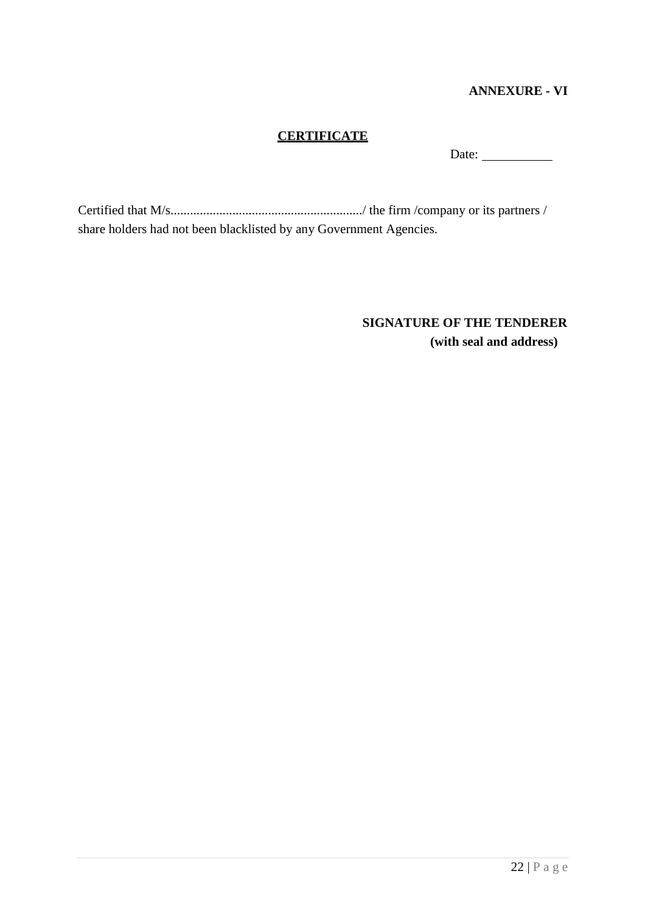#### **ANNEXURE - VI**

#### **CERTIFICATE**

Date:

Certified that M/s.........................................................../ the firm /company or its partners / share holders had not been blacklisted by any Government Agencies.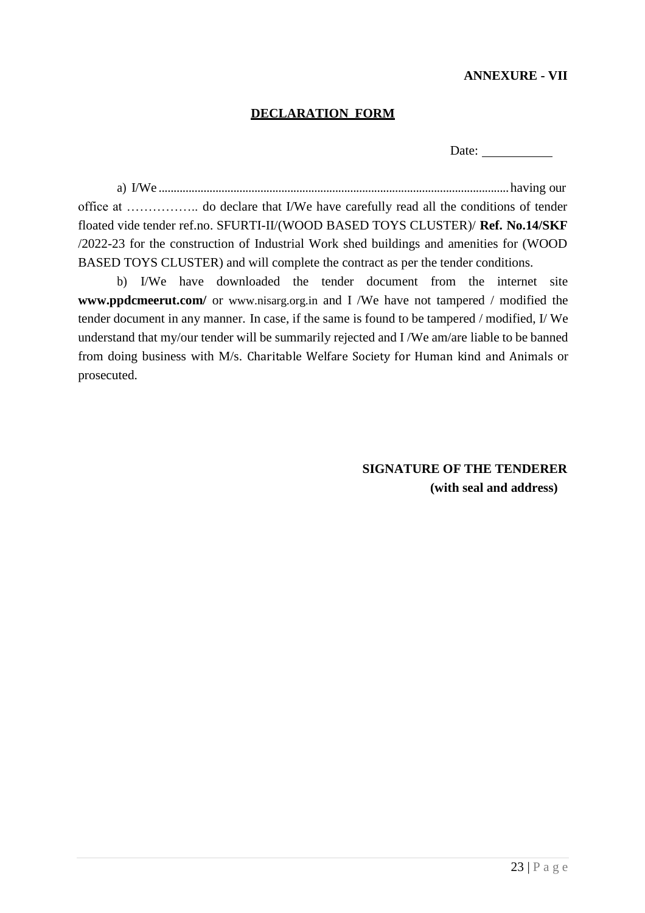#### **ANNEXURE - VII**

#### **DECLARATION FORM**

Date:

a) I/We .....................................................................................................................having our office at …………….. do declare that I/We have carefully read all the conditions of tender floated vide tender ref.no. SFURTI-II/(WOOD BASED TOYS CLUSTER)/ **Ref. No.14/SKF** /2022-23 for the construction of Industrial Work shed buildings and amenities for (WOOD BASED TOYS CLUSTER) and will complete the contract as per the tender conditions.

b) I/We have downloaded the tender document from the internet sit[e](http://www.ppdcagra.dcmsme.gov.in/) **[www.ppdcmeerut.com/](http://www.ppdcagra.dcmsme.gov.in/)** or [www.nisarg.org.in](http://www.nisarg.org.in/) and I /We have not tampered / modified the tender document in any manner. In case, if the same is found to be tampered / modified, I/ We understand that my/our tender will be summarily rejected and I /We am/are liable to be banned from doing business with M/s. Charitable Welfare Society for Human kind and Animals or prosecuted.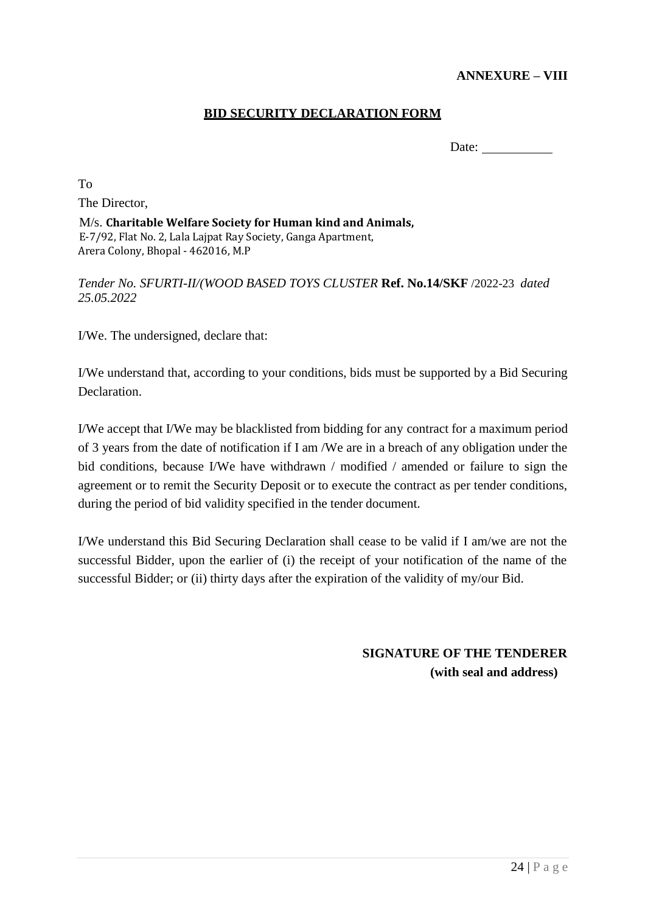#### **ANNEXURE – VIII**

#### **BID SECURITY DECLARATION FORM**

Date:

To The Director,

M/s. **Charitable Welfare Society for Human kind and Animals,** E-7/92, Flat No. 2, Lala Lajpat Ray Society, Ganga Apartment, Arera Colony, Bhopal - 462016, M.P

*Tender No. SFURTI-II/(WOOD BASED TOYS CLUSTER* **Ref. No.14/SKF** /2022-23 *dated 25.05.2022*

I/We. The undersigned, declare that:

I/We understand that, according to your conditions, bids must be supported by a Bid Securing Declaration.

I/We accept that I/We may be blacklisted from bidding for any contract for a maximum period of 3 years from the date of notification if I am /We are in a breach of any obligation under the bid conditions, because I/We have withdrawn / modified / amended or failure to sign the agreement or to remit the Security Deposit or to execute the contract as per tender conditions, during the period of bid validity specified in the tender document.

I/We understand this Bid Securing Declaration shall cease to be valid if I am/we are not the successful Bidder, upon the earlier of (i) the receipt of your notification of the name of the successful Bidder; or (ii) thirty days after the expiration of the validity of my/our Bid.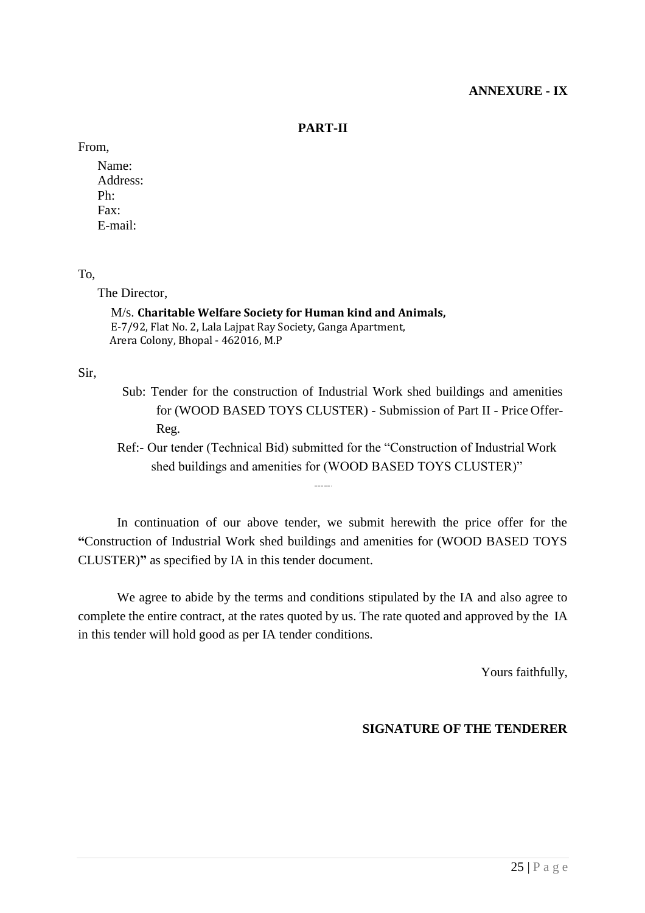#### **ANNEXURE - IX**

#### **PART-II**

From,

Name: Address: Ph: Fax: E-mail:

#### To,

The Director,

#### M/s. **Charitable Welfare Society for Human kind and Animals,** E-7/92, Flat No. 2, Lala Lajpat Ray Society, Ganga Apartment, Arera Colony, Bhopal - 462016, M.P

Sir,

Sub: Tender for the construction of Industrial Work shed buildings and amenities for (WOOD BASED TOYS CLUSTER) - Submission of Part II - Price Offer-Reg.

Ref:- Our tender (Technical Bid) submitted for the "Construction of Industrial Work shed buildings and amenities for (WOOD BASED TOYS CLUSTER)"

In continuation of our above tender, we submit herewith the price offer for the **"**Construction of Industrial Work shed buildings and amenities for (WOOD BASED TOYS CLUSTER)**"** as specified by IA in this tender document.

 $\frac{1}{2}$ 

We agree to abide by the terms and conditions stipulated by the IA and also agree to complete the entire contract, at the rates quoted by us. The rate quoted and approved by the IA in this tender will hold good as per IA tender conditions.

Yours faithfully,

#### **SIGNATURE OF THE TENDERER**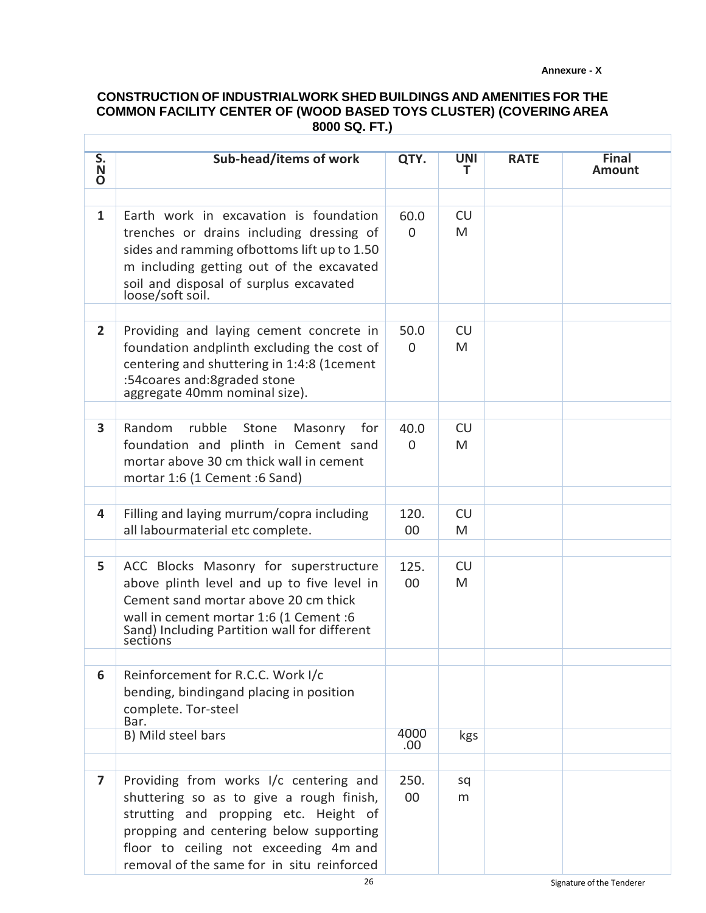#### **Annexure - X**

#### **CONSTRUCTION OF INDUSTRIALWORK SHED BUILDINGS AND AMENITIES FOR THE COMMON FACILITY CENTER OF (WOOD BASED TOYS CLUSTER) (COVERING AREA 8000 SQ. FT.)**

Г

| S.                      | Sub-head/items of work                                                              | QTY.     | <b>UNI</b> | <b>RATE</b> | <b>Final</b> |
|-------------------------|-------------------------------------------------------------------------------------|----------|------------|-------------|--------------|
| N<br>O                  |                                                                                     |          | т          |             | Amount       |
|                         |                                                                                     |          |            |             |              |
| $\mathbf{1}$            | Earth work in excavation is foundation                                              | 60.0     | <b>CU</b>  |             |              |
|                         | trenches or drains including dressing of                                            | $\Omega$ | M          |             |              |
|                         | sides and ramming of bottoms lift up to 1.50                                        |          |            |             |              |
|                         | m including getting out of the excavated                                            |          |            |             |              |
|                         | soil and disposal of surplus excavated<br>loose/soft soil.                          |          |            |             |              |
|                         |                                                                                     |          |            |             |              |
| $\overline{2}$          | Providing and laying cement concrete in                                             | 50.0     | <b>CU</b>  |             |              |
|                         | foundation andplinth excluding the cost of                                          | $\Omega$ | M          |             |              |
|                         | centering and shuttering in 1:4:8 (1cement                                          |          |            |             |              |
|                         | :54 coares and: 8 graded stone                                                      |          |            |             |              |
|                         | aggregate 40mm nominal size).                                                       |          |            |             |              |
| 3                       | Random<br>rubble<br>Stone<br>Masonry<br>for                                         | 40.0     | <b>CU</b>  |             |              |
|                         | foundation and plinth in Cement sand                                                | $\Omega$ | M          |             |              |
|                         | mortar above 30 cm thick wall in cement                                             |          |            |             |              |
|                         | mortar 1:6 (1 Cement :6 Sand)                                                       |          |            |             |              |
|                         |                                                                                     |          |            |             |              |
| 4                       | Filling and laying murrum/copra including                                           | 120.     | <b>CU</b>  |             |              |
|                         | all labourmaterial etc complete.                                                    | 00       | M          |             |              |
| 5                       |                                                                                     | 125.     | <b>CU</b>  |             |              |
|                         | ACC Blocks Masonry for superstructure<br>above plinth level and up to five level in | 00       | M          |             |              |
|                         | Cement sand mortar above 20 cm thick                                                |          |            |             |              |
|                         | wall in cement mortar 1:6 (1 Cement :6                                              |          |            |             |              |
|                         | Sand) Including Partition wall for different                                        |          |            |             |              |
|                         | sections                                                                            |          |            |             |              |
| 6                       | Reinforcement for R.C.C. Work I/c                                                   |          |            |             |              |
|                         | bending, bindingand placing in position                                             |          |            |             |              |
|                         | complete. Tor-steel                                                                 |          |            |             |              |
|                         | Bar.<br>B) Mild steel bars                                                          | 4000     | kgs        |             |              |
|                         |                                                                                     | .00.     |            |             |              |
| $\overline{\mathbf{z}}$ | Providing from works I/c centering and                                              | 250.     | sq         |             |              |
|                         | shuttering so as to give a rough finish,                                            | 00       | m          |             |              |
|                         | strutting and propping etc. Height of                                               |          |            |             |              |
|                         | propping and centering below supporting                                             |          |            |             |              |
|                         | floor to ceiling not exceeding 4m and                                               |          |            |             |              |
|                         | removal of the same for in situ reinforced                                          |          |            |             |              |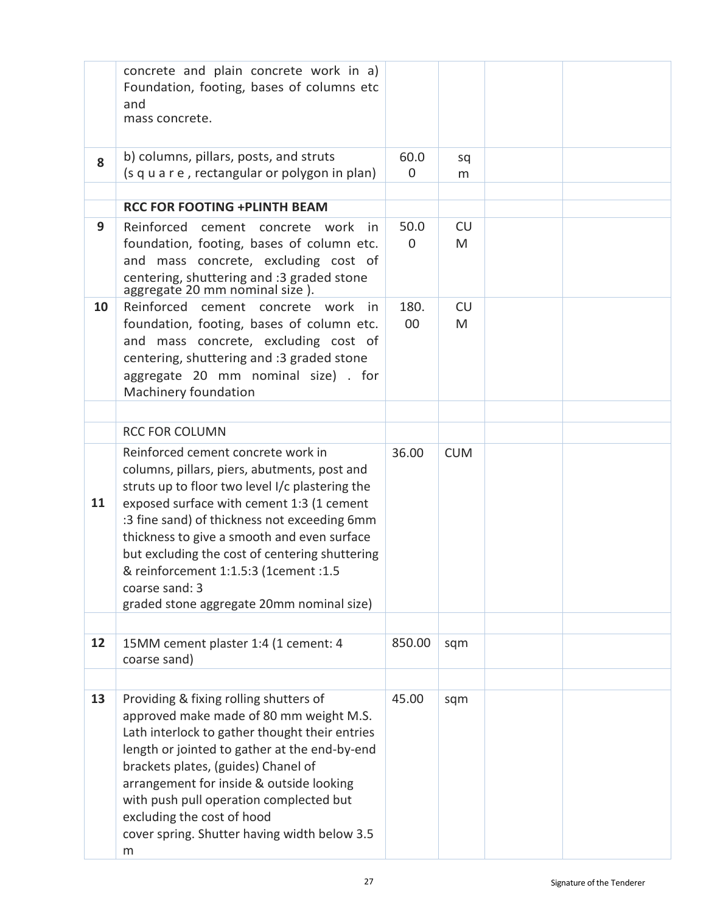|    | concrete and plain concrete work in a)<br>Foundation, footing, bases of columns etc<br>and<br>mass concrete.                                                                                                                                                                                                                                                                                                                                |                     |            |  |
|----|---------------------------------------------------------------------------------------------------------------------------------------------------------------------------------------------------------------------------------------------------------------------------------------------------------------------------------------------------------------------------------------------------------------------------------------------|---------------------|------------|--|
| 8  | b) columns, pillars, posts, and struts<br>(s q u a r e, rectangular or polygon in plan)                                                                                                                                                                                                                                                                                                                                                     | 60.0<br>$\mathbf 0$ | sq<br>m    |  |
|    |                                                                                                                                                                                                                                                                                                                                                                                                                                             |                     |            |  |
|    | <b>RCC FOR FOOTING +PLINTH BEAM</b>                                                                                                                                                                                                                                                                                                                                                                                                         |                     |            |  |
| 9  | Reinforced<br>cement concrete work<br>in.<br>foundation, footing, bases of column etc.<br>and mass concrete, excluding cost of<br>centering, shuttering and :3 graded stone<br>aggregate 20 mm nominal size).                                                                                                                                                                                                                               | 50.0<br>$\Omega$    | CU<br>M    |  |
|    |                                                                                                                                                                                                                                                                                                                                                                                                                                             |                     |            |  |
| 10 | Reinforced cement concrete work in<br>foundation, footing, bases of column etc.<br>and mass concrete, excluding cost of<br>centering, shuttering and :3 graded stone<br>aggregate 20 mm nominal size) . for<br>Machinery foundation                                                                                                                                                                                                         | 180.<br>00          | CU<br>M    |  |
|    |                                                                                                                                                                                                                                                                                                                                                                                                                                             |                     |            |  |
|    | <b>RCC FOR COLUMN</b>                                                                                                                                                                                                                                                                                                                                                                                                                       |                     |            |  |
| 11 | Reinforced cement concrete work in<br>columns, pillars, piers, abutments, post and<br>struts up to floor two level I/c plastering the<br>exposed surface with cement 1:3 (1 cement<br>:3 fine sand) of thickness not exceeding 6mm<br>thickness to give a smooth and even surface<br>but excluding the cost of centering shuttering<br>& reinforcement 1:1.5:3 (1cement :1.5<br>coarse sand: 3<br>graded stone aggregate 20mm nominal size) | 36.00               | <b>CUM</b> |  |
|    |                                                                                                                                                                                                                                                                                                                                                                                                                                             |                     |            |  |
| 12 | 15MM cement plaster 1:4 (1 cement: 4<br>coarse sand)                                                                                                                                                                                                                                                                                                                                                                                        | 850.00              | sqm        |  |
|    |                                                                                                                                                                                                                                                                                                                                                                                                                                             |                     |            |  |
| 13 | Providing & fixing rolling shutters of<br>approved make made of 80 mm weight M.S.<br>Lath interlock to gather thought their entries<br>length or jointed to gather at the end-by-end<br>brackets plates, (guides) Chanel of<br>arrangement for inside & outside looking<br>with push pull operation complected but<br>excluding the cost of hood<br>cover spring. Shutter having width below 3.5<br>m                                       | 45.00               | sqm        |  |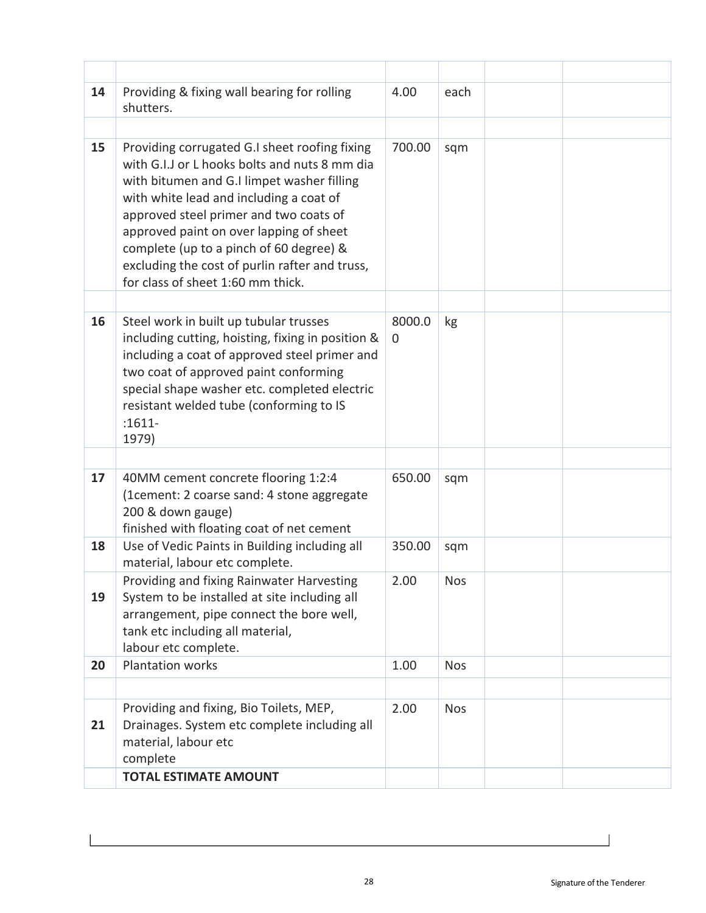| 14 | Providing & fixing wall bearing for rolling<br>shutters.                                                                                                                                                                                                                                                                                                                                                       | 4.00        | each       |  |
|----|----------------------------------------------------------------------------------------------------------------------------------------------------------------------------------------------------------------------------------------------------------------------------------------------------------------------------------------------------------------------------------------------------------------|-------------|------------|--|
|    |                                                                                                                                                                                                                                                                                                                                                                                                                |             |            |  |
| 15 | Providing corrugated G.I sheet roofing fixing<br>with G.I.J or L hooks bolts and nuts 8 mm dia<br>with bitumen and G.I limpet washer filling<br>with white lead and including a coat of<br>approved steel primer and two coats of<br>approved paint on over lapping of sheet<br>complete (up to a pinch of 60 degree) &<br>excluding the cost of purlin rafter and truss,<br>for class of sheet 1:60 mm thick. | 700.00      | sqm        |  |
| 16 | Steel work in built up tubular trusses<br>including cutting, hoisting, fixing in position &<br>including a coat of approved steel primer and<br>two coat of approved paint conforming<br>special shape washer etc. completed electric<br>resistant welded tube (conforming to IS<br>$:1611-$<br>1979)                                                                                                          | 8000.0<br>0 | kg         |  |
|    |                                                                                                                                                                                                                                                                                                                                                                                                                |             |            |  |
| 17 | 40MM cement concrete flooring 1:2:4<br>(1cement: 2 coarse sand: 4 stone aggregate<br>200 & down gauge)<br>finished with floating coat of net cement                                                                                                                                                                                                                                                            | 650.00      | sqm        |  |
| 18 | Use of Vedic Paints in Building including all<br>material, labour etc complete.                                                                                                                                                                                                                                                                                                                                | 350.00      | sqm        |  |
| 19 | Providing and fixing Rainwater Harvesting<br>System to be installed at site including all<br>arrangement, pipe connect the bore well,<br>tank etc including all material,<br>labour etc complete.                                                                                                                                                                                                              | 2.00        | <b>Nos</b> |  |
| 20 | <b>Plantation works</b>                                                                                                                                                                                                                                                                                                                                                                                        | 1.00        | <b>Nos</b> |  |
|    |                                                                                                                                                                                                                                                                                                                                                                                                                |             |            |  |
| 21 | Providing and fixing, Bio Toilets, MEP,<br>Drainages. System etc complete including all<br>material, labour etc<br>complete                                                                                                                                                                                                                                                                                    | 2.00        | <b>Nos</b> |  |
|    | <b>TOTAL ESTIMATE AMOUNT</b>                                                                                                                                                                                                                                                                                                                                                                                   |             |            |  |

 $\overline{\phantom{a}}$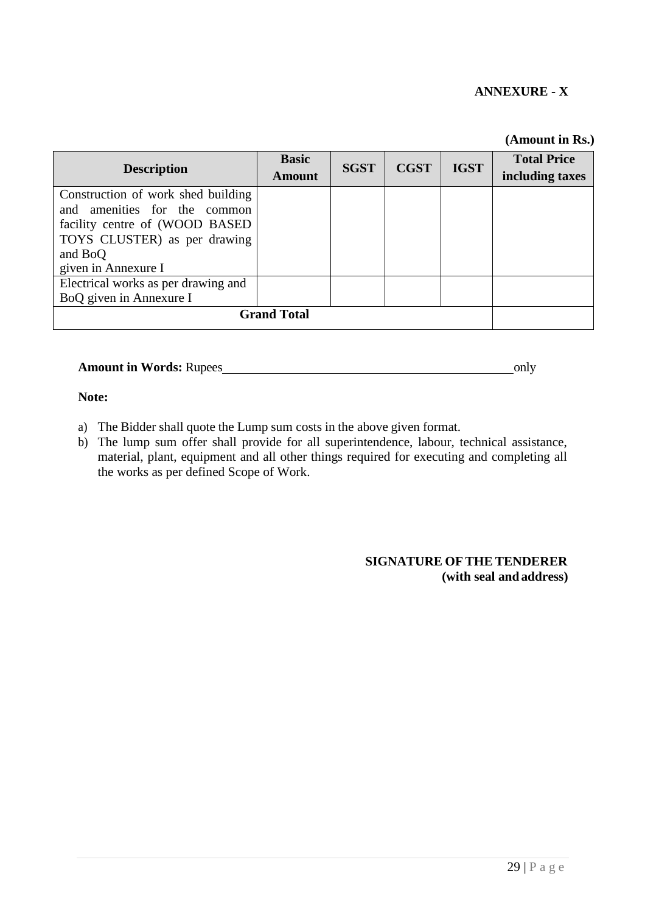#### **ANNEXURE - X**

|                                                                                                                                                                        |                        |             |             |             | (Amount in Rs.)                       |
|------------------------------------------------------------------------------------------------------------------------------------------------------------------------|------------------------|-------------|-------------|-------------|---------------------------------------|
| <b>Description</b>                                                                                                                                                     | <b>Basic</b><br>Amount | <b>SGST</b> | <b>CGST</b> | <b>IGST</b> | <b>Total Price</b><br>including taxes |
| Construction of work shed building<br>and amenities for the common<br>facility centre of (WOOD BASED<br>TOYS CLUSTER) as per drawing<br>and BoQ<br>given in Annexure I |                        |             |             |             |                                       |
| Electrical works as per drawing and<br>BoQ given in Annexure I                                                                                                         |                        |             |             |             |                                       |
| <b>Grand Total</b>                                                                                                                                                     |                        |             |             |             |                                       |

#### **Amount in Words: Rupees** only

#### **Note:**

- a) The Bidder shall quote the Lump sum costs in the above given format.
- b) The lump sum offer shall provide for all superintendence, labour, technical assistance, material, plant, equipment and all other things required for executing and completing all the works as per defined Scope of Work.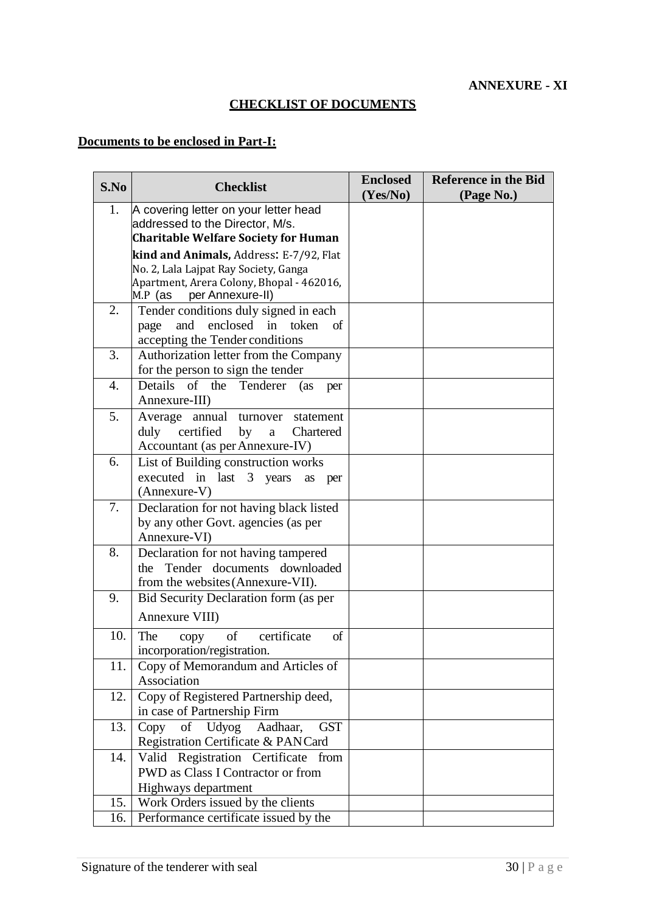## **CHECKLIST OF DOCUMENTS**

### **Documents to be enclosed in Part-I:**

| S.No       | <b>Checklist</b>                                                                                                                                               | <b>Enclosed</b><br>(Yes/No) | <b>Reference in the Bid</b><br>(Page No.) |
|------------|----------------------------------------------------------------------------------------------------------------------------------------------------------------|-----------------------------|-------------------------------------------|
| 1.         | A covering letter on your letter head<br>addressed to the Director, M/s.<br><b>Charitable Welfare Society for Human</b>                                        |                             |                                           |
|            | kind and Animals, Address: E-7/92, Flat<br>No. 2, Lala Lajpat Ray Society, Ganga<br>Apartment, Arera Colony, Bhopal - 462016,<br>$M.P$ (as<br>per Annexure-II) |                             |                                           |
| 2.         | Tender conditions duly signed in each<br>and<br>enclosed in token<br>page<br>of<br>accepting the Tender conditions                                             |                             |                                           |
| 3.         | Authorization letter from the Company<br>for the person to sign the tender                                                                                     |                             |                                           |
| 4.         | Details of the<br>Tenderer (as<br>per<br>Annexure-III)                                                                                                         |                             |                                           |
| 5.         | Average annual<br>turnover statement<br>duly<br>certified<br>by<br>Chartered<br>$\rm{a}$<br>Accountant (as per Annexure-IV)                                    |                             |                                           |
| 6.         | List of Building construction works<br>executed in last 3 years<br>as<br>per<br>(Annexure-V)                                                                   |                             |                                           |
| 7.         | Declaration for not having black listed<br>by any other Govt. agencies (as per<br>Annexure-VI)                                                                 |                             |                                           |
| 8.         | Declaration for not having tampered<br>the Tender documents downloaded<br>from the websites (Annexure-VII).                                                    |                             |                                           |
| 9.         | Bid Security Declaration form (as per<br>Annexure VIII)                                                                                                        |                             |                                           |
| 10.        | certificate<br>of<br>of<br>The<br>copy<br>incorporation/registration.                                                                                          |                             |                                           |
| 11.        | Copy of Memorandum and Articles of<br>Association                                                                                                              |                             |                                           |
| 12.        | Copy of Registered Partnership deed,<br>in case of Partnership Firm                                                                                            |                             |                                           |
| 13.        | of<br>Udyog<br><b>GST</b><br>Copy<br>Aadhaar.<br>Registration Certificate & PANCard                                                                            |                             |                                           |
| 14.        | Valid Registration Certificate from<br>PWD as Class I Contractor or from<br>Highways department                                                                |                             |                                           |
| 15.<br>16. | Work Orders issued by the clients<br>Performance certificate issued by the                                                                                     |                             |                                           |